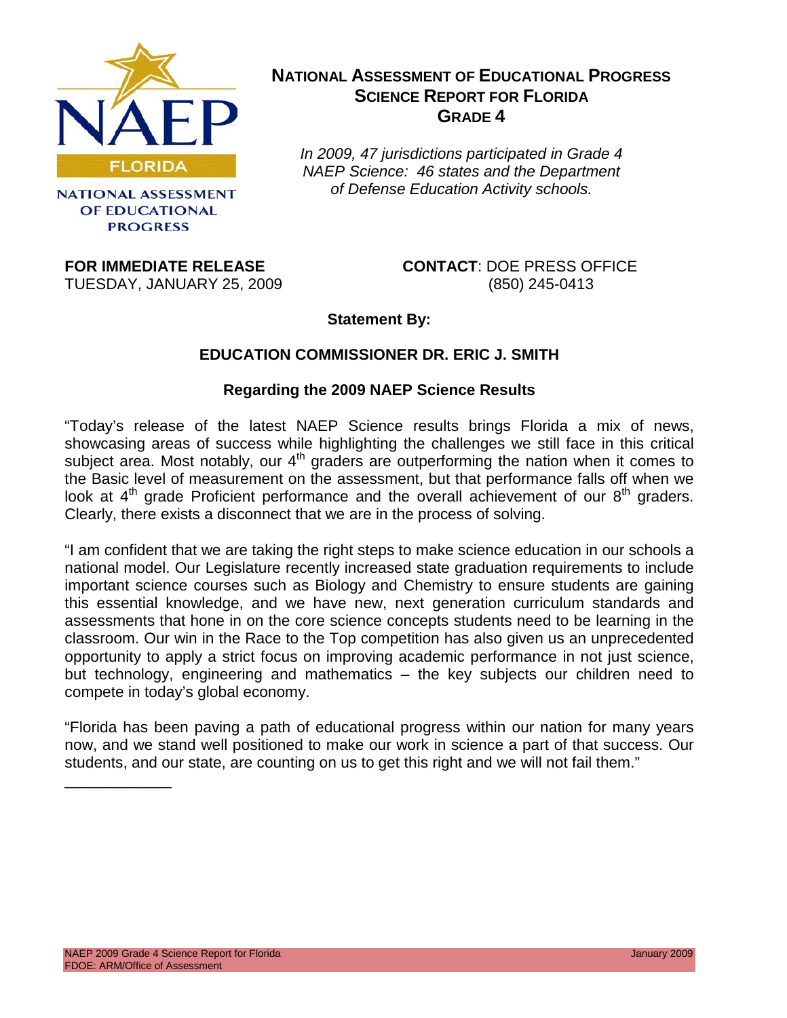

**NATIONAL ASSESSMENT** OF EDUCATIONAL **PROGRESS** 

### **NATIONAL ASSESSMENT OF EDUCATIONAL PROGRESS SCIENCE REPORT FOR FLORIDA GRADE 4**

*In 2009, 47 jurisdictions participated in Grade 4 NAEP Science: 46 states and the Department of Defense Education Activity schools.*

**FOR IMMEDIATE RELEASE CONTACT**: DOE PRESS OFFICE TUESDAY, JANUARY 25, 2009 (850) 245-0413

**Statement By:**

### **EDUCATION COMMISSIONER DR. ERIC J. SMITH**

### **Regarding the 2009 NAEP Science Results**

"Today's release of the latest NAEP Science results brings Florida a mix of news, showcasing areas of success while highlighting the challenges we still face in this critical subject area. Most notably, our  $4<sup>th</sup>$  graders are outperforming the nation when it comes to the Basic level of measurement on the assessment, but that performance falls off when we look at  $4<sup>th</sup>$  grade Proficient performance and the overall achievement of our  $8<sup>th</sup>$  graders. Clearly, there exists a disconnect that we are in the process of solving.

"I am confident that we are taking the right steps to make science education in our schools a national model. Our Legislature recently increased state graduation requirements to include important science courses such as Biology and Chemistry to ensure students are gaining this essential knowledge, and we have new, next generation curriculum standards and assessments that hone in on the core science concepts students need to be learning in the classroom. Our win in the Race to the Top competition has also given us an unprecedented opportunity to apply a strict focus on improving academic performance in not just science, but technology, engineering and mathematics – the key subjects our children need to compete in today's global economy.

"Florida has been paving a path of educational progress within our nation for many years now, and we stand well positioned to make our work in science a part of that success. Our students, and our state, are counting on us to get this right and we will not fail them."

\_\_\_\_\_\_\_\_\_\_\_\_\_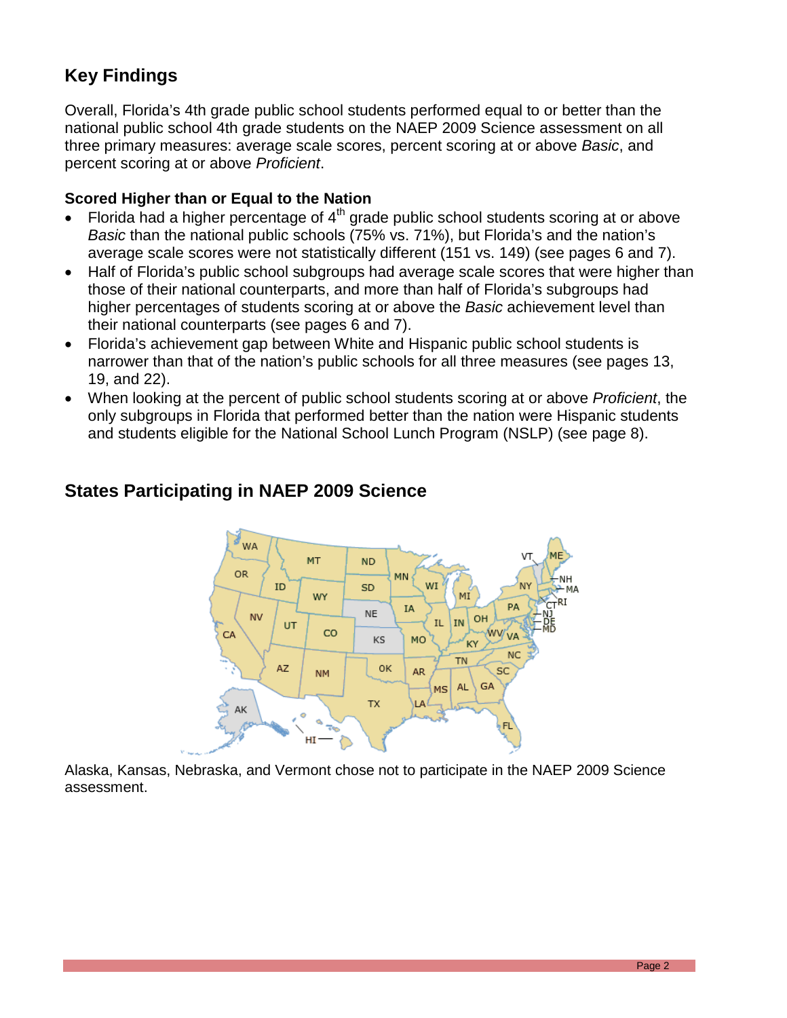# **Key Findings**

Overall, Florida's 4th grade public school students performed equal to or better than the national public school 4th grade students on the NAEP 2009 Science assessment on all three primary measures: average scale scores, percent scoring at or above *Basic*, and percent scoring at or above *Proficient*.

#### **Scored Higher than or Equal to the Nation**

- Florida had a higher percentage of  $4<sup>th</sup>$  grade public school students scoring at or above *Basic* than the national public schools (75% vs. 71%), but Florida's and the nation's average scale scores were not statistically different (151 vs. 149) (see pages 6 and 7).
- Half of Florida's public school subgroups had average scale scores that were higher than those of their national counterparts, and more than half of Florida's subgroups had higher percentages of students scoring at or above the *Basic* achievement level than their national counterparts (see pages 6 and 7).
- Florida's achievement gap between White and Hispanic public school students is narrower than that of the nation's public schools for all three measures (see pages 13, 19, and 22).
- When looking at the percent of public school students scoring at or above *Proficient*, the only subgroups in Florida that performed better than the nation were Hispanic students and students eligible for the National School Lunch Program (NSLP) (see page 8).



# **States Participating in NAEP 2009 Science**

Alaska, Kansas, Nebraska, and Vermont chose not to participate in the NAEP 2009 Science assessment.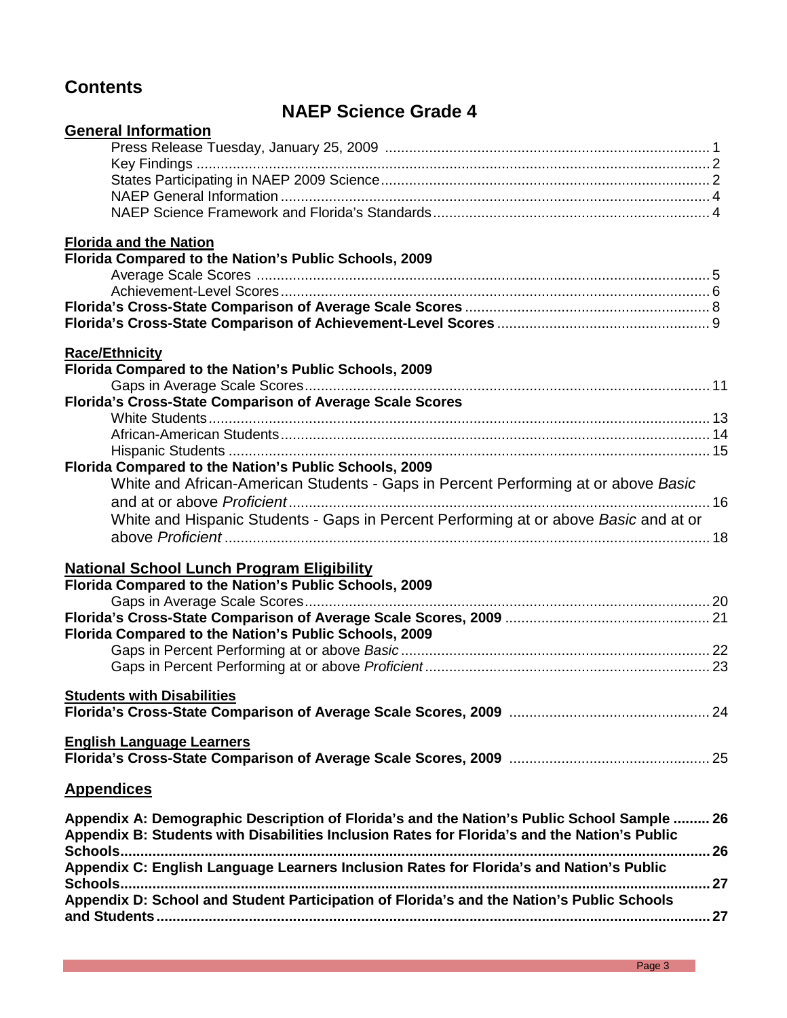# **Contents**

# **NAEP Science Grade 4**

| <b>General Information</b>                                                                   |  |
|----------------------------------------------------------------------------------------------|--|
|                                                                                              |  |
|                                                                                              |  |
|                                                                                              |  |
|                                                                                              |  |
|                                                                                              |  |
| <b>Florida and the Nation</b>                                                                |  |
| Florida Compared to the Nation's Public Schools, 2009                                        |  |
|                                                                                              |  |
|                                                                                              |  |
|                                                                                              |  |
|                                                                                              |  |
| <b>Race/Ethnicity</b>                                                                        |  |
| Florida Compared to the Nation's Public Schools, 2009                                        |  |
|                                                                                              |  |
| Florida's Cross-State Comparison of Average Scale Scores                                     |  |
|                                                                                              |  |
|                                                                                              |  |
|                                                                                              |  |
| Florida Compared to the Nation's Public Schools, 2009                                        |  |
| White and African-American Students - Gaps in Percent Performing at or above Basic           |  |
|                                                                                              |  |
| White and Hispanic Students - Gaps in Percent Performing at or above Basic and at or         |  |
|                                                                                              |  |
| <b>National School Lunch Program Eligibility</b>                                             |  |
| Florida Compared to the Nation's Public Schools, 2009                                        |  |
|                                                                                              |  |
|                                                                                              |  |
| Florida Compared to the Nation's Public Schools, 2009                                        |  |
|                                                                                              |  |
|                                                                                              |  |
|                                                                                              |  |
| <b>Students with Disabilities</b>                                                            |  |
|                                                                                              |  |
| <b>English Language Learners</b>                                                             |  |
|                                                                                              |  |
| <b>Appendices</b>                                                                            |  |
|                                                                                              |  |
| Appendix A: Demographic Description of Florida's and the Nation's Public School Sample  26   |  |
| Appendix B: Students with Disabilities Inclusion Rates for Florida's and the Nation's Public |  |
|                                                                                              |  |
| Appendix C: English Language Learners Inclusion Rates for Florida's and Nation's Public      |  |
| Appendix D: School and Student Participation of Florida's and the Nation's Public Schools    |  |
|                                                                                              |  |
|                                                                                              |  |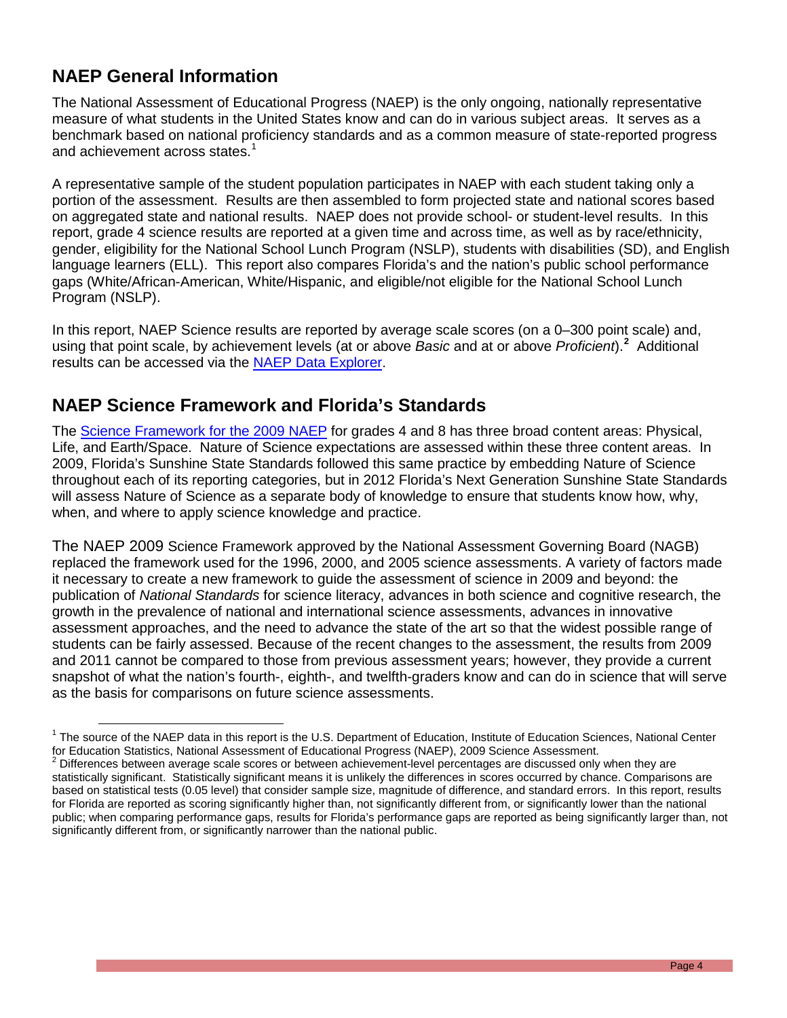# **NAEP General Information**

The National Assessment of Educational Progress (NAEP) is the only ongoing, nationally representative measure of what students in the United States know and can do in various subject areas. It serves as a benchmark based on national proficiency standards and as a common measure of state-reported progress and achievement across states.<sup>[1](#page-3-0)</sup>

A representative sample of the student population participates in NAEP with each student taking only a portion of the assessment. Results are then assembled to form projected state and national scores based on aggregated state and national results. NAEP does not provide school- or student-level results. In this report, grade 4 science results are reported at a given time and across time, as well as by race/ethnicity, gender, eligibility for the National School Lunch Program (NSLP), students with disabilities (SD), and English language learners (ELL). This report also compares Florida's and the nation's public school performance gaps (White/African-American, White/Hispanic, and eligible/not eligible for the National School Lunch Program (NSLP).

In this report, NAEP Science results are reported by average scale scores (on a 0–300 point scale) and, using that point scale, by achievement levels (at or above *Basic* and at or above *Proficient*).**[2](#page-3-1)** Additional results can be accessed via the [NAEP Data Explorer.](http://nces.ed.gov/nationsreportcard/nde)

### **NAEP Science Framework and Florida's Standards**

The [Science Framework for the 2009 NAEP](http://www.nagb.org/publications/frameworks/science/2009-science-framework.html) for grades 4 and 8 has three broad content areas: Physical, Life, and Earth/Space. Nature of Science expectations are assessed within these three content areas. In 2009, Florida's Sunshine State Standards followed this same practice by embedding Nature of Science throughout each of its reporting categories, but in 2012 Florida's Next Generation Sunshine State Standards will assess Nature of Science as a separate body of knowledge to ensure that students know how, why, when, and where to apply science knowledge and practice.

The NAEP 2009 Science Framework approved by the National Assessment Governing Board (NAGB) replaced the framework used for the 1996, 2000, and 2005 science assessments. A variety of factors made it necessary to create a new framework to guide the assessment of science in 2009 and beyond: the publication of *National Standards* for science literacy, advances in both science and cognitive research, the growth in the prevalence of national and international science assessments, advances in innovative assessment approaches, and the need to advance the state of the art so that the widest possible range of students can be fairly assessed. Because of the recent changes to the assessment, the results from 2009 and 2011 cannot be compared to those from previous assessment years; however, they provide a current snapshot of what the nation's fourth-, eighth-, and twelfth-graders know and can do in science that will serve as the basis for comparisons on future science assessments.

<span id="page-3-0"></span><sup>&</sup>lt;sup>1</sup> The source of the NAEP data in this report is the U.S. Department of Education, Institute of Education Sciences, National Center<br>for Education Statistics, National Assessment of Educational Progress (NAEP), 2009 Scienc  $\overline{a}$ 

<span id="page-3-1"></span> $2$  Differences between average scale scores or between achievement-level percentages are discussed only when they are statistically significant. Statistically significant means it is unlikely the differences in scores occurred by chance. Comparisons are based on statistical tests (0.05 level) that consider sample size, magnitude of difference, and standard errors. In this report, results for Florida are reported as scoring significantly higher than, not significantly different from, or significantly lower than the national public; when comparing performance gaps, results for Florida's performance gaps are reported as being significantly larger than, not significantly different from, or significantly narrower than the national public.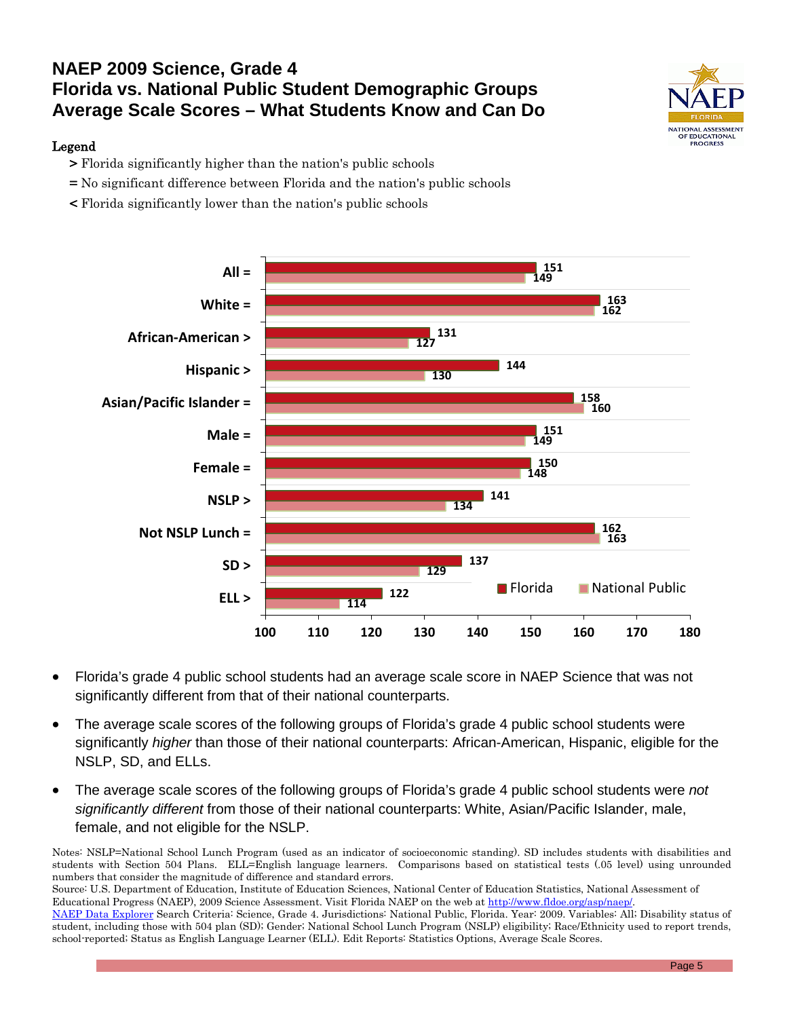# **NAEP 2009 Science, Grade 4 Florida vs. National Public Student Demographic Groups Average Scale Scores – What Students Know and Can Do**

#### Legend

- > Florida significantly higher than the nation's public schools
- = No significant difference between Florida and the nation's public schools
- < Florida significantly lower than the nation's public schools



- Florida's grade 4 public school students had an average scale score in NAEP Science that was not significantly different from that of their national counterparts.
- The average scale scores of the following groups of Florida's grade 4 public school students were significantly *higher* than those of their national counterparts: African-American, Hispanic, eligible for the NSLP, SD, and ELLs.
- The average scale scores of the following groups of Florida's grade 4 public school students were *not significantly different* from those of their national counterparts: White, Asian/Pacific Islander, male, female, and not eligible for the NSLP.

Notes: NSLP=National School Lunch Program (used as an indicator of socioeconomic standing). SD includes students with disabilities and students with Section 504 Plans. ELL=English language learners. Comparisons based on statistical tests (.05 level) using unrounded numbers that consider the magnitude of difference and standard errors.

Source: U.S. Department of Education, Institute of Education Sciences, National Center of Education Statistics, National Assessment of Educational Progress (NAEP), 2009 Science Assessment. Visit Florida NAEP on the web at http://www.fldoe.org/asp/naep. [NAEP Data Explorer](http://nces.ed.gov/nationsreportcard/naepdata/) Search Criteria: Science, Grade 4. Jurisdictions: National Public, Florida. Year: 2009. Variables: All; Disability status of

student, including those with 504 plan (SD); Gender; National School Lunch Program (NSLP) eligibility; Race/Ethnicity used to report trends, school-reported; Status as English Language Learner (ELL). Edit Reports: Statistics Options, Average Scale Scores.

**DF EDUCATIONAL<br>PROGRESS**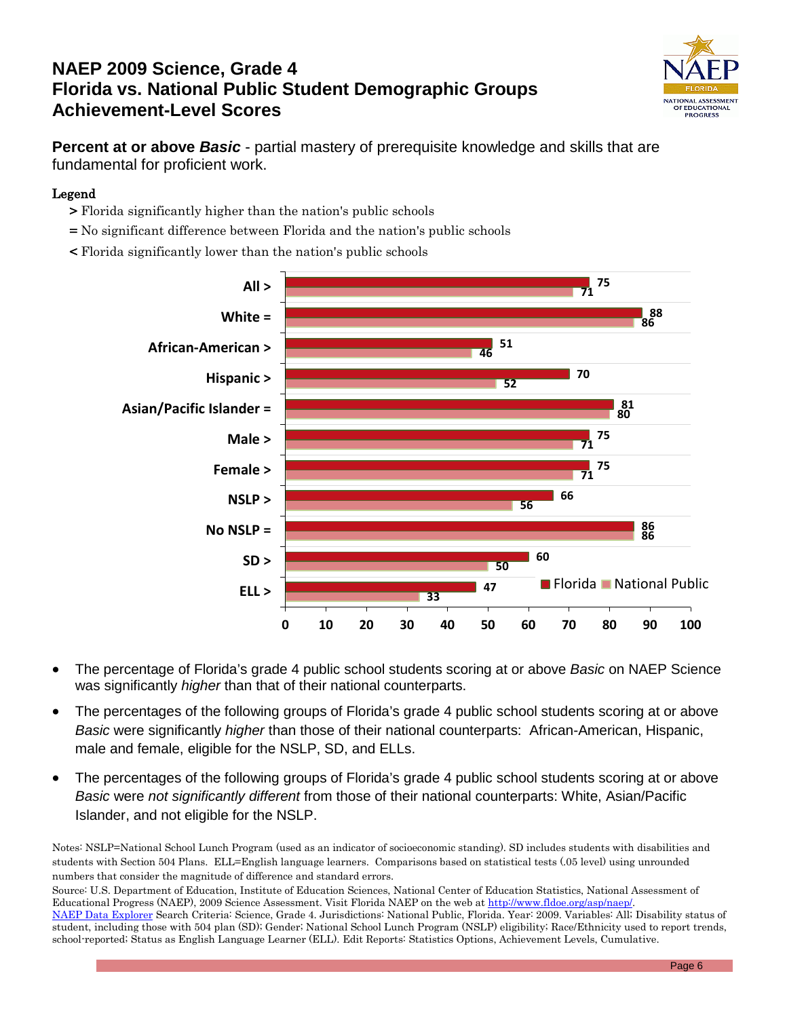# **NAEP 2009 Science, Grade 4 Florida vs. National Public Student Demographic Groups Achievement-Level Scores**



**Percent at or above** *Basic* - partial mastery of prerequisite knowledge and skills that are fundamental for proficient work.

#### Legend

- > Florida significantly higher than the nation's public schools
- = No significant difference between Florida and the nation's public schools
- < Florida significantly lower than the nation's public schools



- The percentage of Florida's grade 4 public school students scoring at or above *Basic* on NAEP Science was significantly *higher* than that of their national counterparts.
- The percentages of the following groups of Florida's grade 4 public school students scoring at or above *Basic* were significantly *higher* than those of their national counterparts: African-American, Hispanic, male and female, eligible for the NSLP, SD, and ELLs.
- The percentages of the following groups of Florida's grade 4 public school students scoring at or above *Basic* were *not significantly different* from those of their national counterparts: White, Asian/Pacific Islander, and not eligible for the NSLP.

Notes: NSLP=National School Lunch Program (used as an indicator of socioeconomic standing). SD includes students with disabilities and students with Section 504 Plans. ELL=English language learners. Comparisons based on statistical tests (.05 level) using unrounded numbers that consider the magnitude of difference and standard errors.

Source: U.S. Department of Education, Institute of Education Sciences, National Center of Education Statistics, National Assessment of Educational Progress (NAEP), 2009 Science Assessment. Visit Florida NAEP on the web a[t http://www.fldoe.org/asp/naep/.](http://www.fldoe.org/asp/naep/) [NAEP Data Explorer](http://nces.ed.gov/nationsreportcard/naepdata/) Search Criteria: Science, Grade 4. Jurisdictions: National Public, Florida. Year: 2009. Variables: All; Disability status of student, including those with 504 plan (SD); Gender; National School Lunch Program (NSLP) eligibility; Race/Ethnicity used to report trends, school-reported; Status as English Language Learner (ELL). Edit Reports: Statistics Options, Achievement Levels, Cumulative.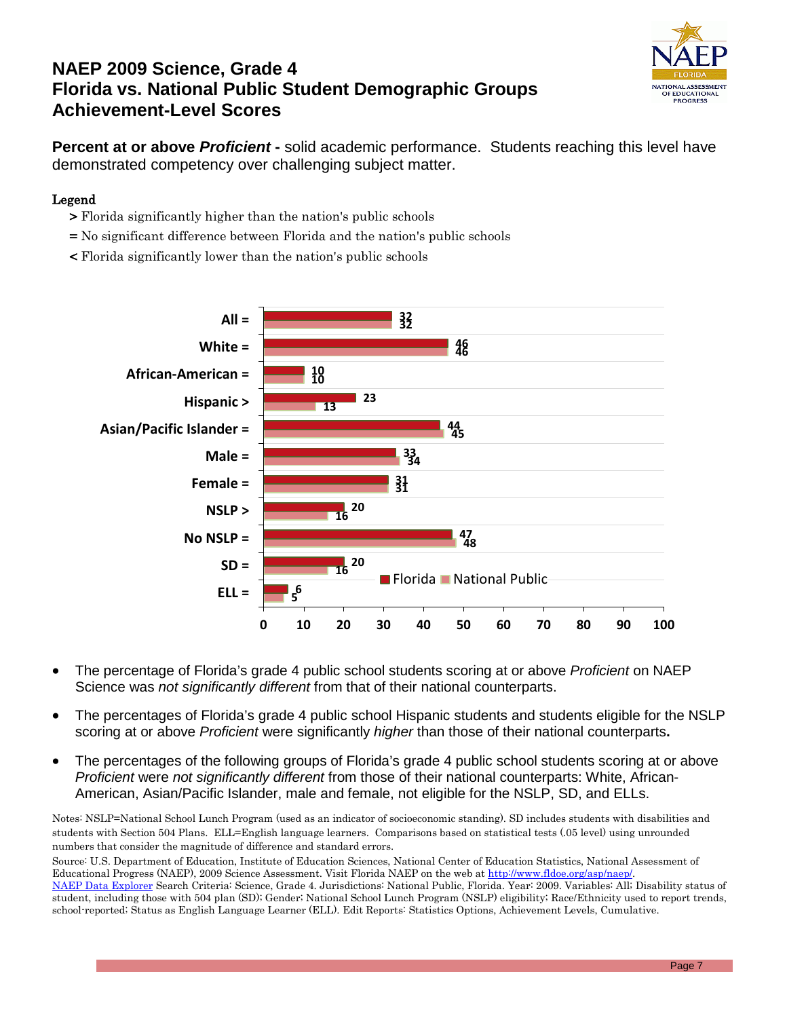# **NAEP 2009 Science, Grade 4 Florida vs. National Public Student Demographic Groups Achievement-Level Scores**



**Percent at or above** *Proficient* **-** solid academic performance. Students reaching this level have demonstrated competency over challenging subject matter.

#### Legend

- > Florida significantly higher than the nation's public schools
- = No significant difference between Florida and the nation's public schools
- < Florida significantly lower than the nation's public schools



- The percentage of Florida's grade 4 public school students scoring at or above *Proficient* on NAEP Science was *not significantly different* from that of their national counterparts.
- The percentages of Florida's grade 4 public school Hispanic students and students eligible for the NSLP scoring at or above *Proficient* were significantly *higher* than those of their national counterparts**.**
- The percentages of the following groups of Florida's grade 4 public school students scoring at or above *Proficient* were *not significantly different* from those of their national counterparts: White, African-American, Asian/Pacific Islander, male and female, not eligible for the NSLP, SD, and ELLs.

Notes: NSLP=National School Lunch Program (used as an indicator of socioeconomic standing). SD includes students with disabilities and students with Section 504 Plans. ELL=English language learners. Comparisons based on statistical tests (.05 level) using unrounded numbers that consider the magnitude of difference and standard errors.

Source: U.S. Department of Education, Institute of Education Sciences, National Center of Education Statistics, National Assessment of Educational Progress (NAEP), 2009 Science Assessment. Visit Florida NAEP on the web at http://www.fldoe.org/asp/naep/

[NAEP Data Explorer](http://nces.ed.gov/nationsreportcard/naepdata/) Search Criteria: Science, Grade 4. Jurisdictions: National Public, Florida. Year: 2009. Variables: All; Disability status of student, including those with 504 plan (SD); Gender; National School Lunch Program (NSLP) eligibility; Race/Ethnicity used to report trends, school-reported; Status as English Language Learner (ELL). Edit Reports: Statistics Options, Achievement Levels, Cumulative.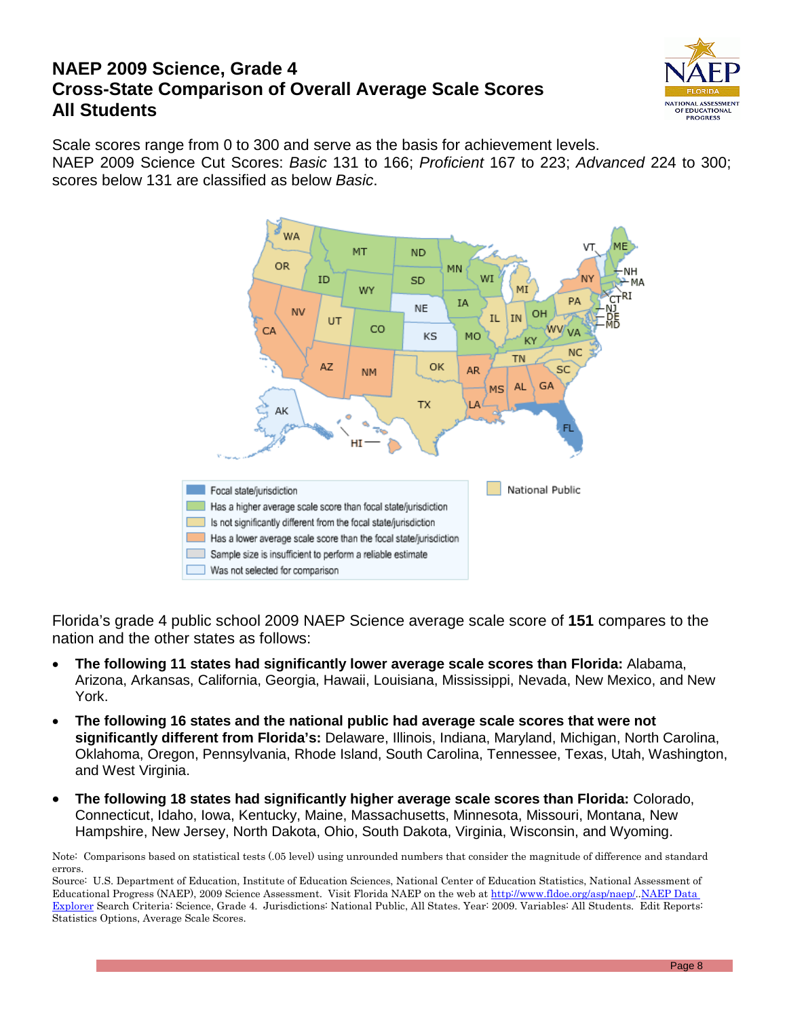### **NAEP 2009 Science, Grade 4 Cross-State Comparison of Overall Average Scale Scores All Students**



Scale scores range from 0 to 300 and serve as the basis for achievement levels. NAEP 2009 Science Cut Scores: *Basic* 131 to 166; *Proficient* 167 to 223; *Advanced* 224 to 300; scores below 131 are classified as below *Basic*.



Florida's grade 4 public school 2009 NAEP Science average scale score of **151** compares to the nation and the other states as follows:

- **The following 11 states had significantly lower average scale scores than Florida:** Alabama, Arizona, Arkansas, California, Georgia, Hawaii, Louisiana, Mississippi, Nevada, New Mexico, and New York.
- **The following 16 states and the national public had average scale scores that were not significantly different from Florida's:** Delaware, Illinois, Indiana, Maryland, Michigan, North Carolina, Oklahoma, Oregon, Pennsylvania, Rhode Island, South Carolina, Tennessee, Texas, Utah, Washington, and West Virginia.
- **The following 18 states had significantly higher average scale scores than Florida:** Colorado, Connecticut, Idaho, Iowa, Kentucky, Maine, Massachusetts, Minnesota, Missouri, Montana, New Hampshire, New Jersey, North Dakota, Ohio, South Dakota, Virginia, Wisconsin, and Wyoming.

Note: Comparisons based on statistical tests (.05 level) using unrounded numbers that consider the magnitude of difference and standard errors.

Source: U.S. Department of Education, Institute of Education Sciences, National Center of Education Statistics, National Assessment of Educational Progress (NAEP), 2009 Science Assessment. Visit Florida NAEP on the web at [http://www.fldoe.org/asp/naep/.](http://www.fldoe.org/asp/naep/)[.NAEP Data](http://nces.ed.gov/nationsreportcard/naepdata/)  [Explorer](http://nces.ed.gov/nationsreportcard/naepdata/) Search Criteria: Science, Grade 4. Jurisdictions: National Public, All States. Year: 2009. Variables: All Students. Edit Reports: Statistics Options, Average Scale Scores.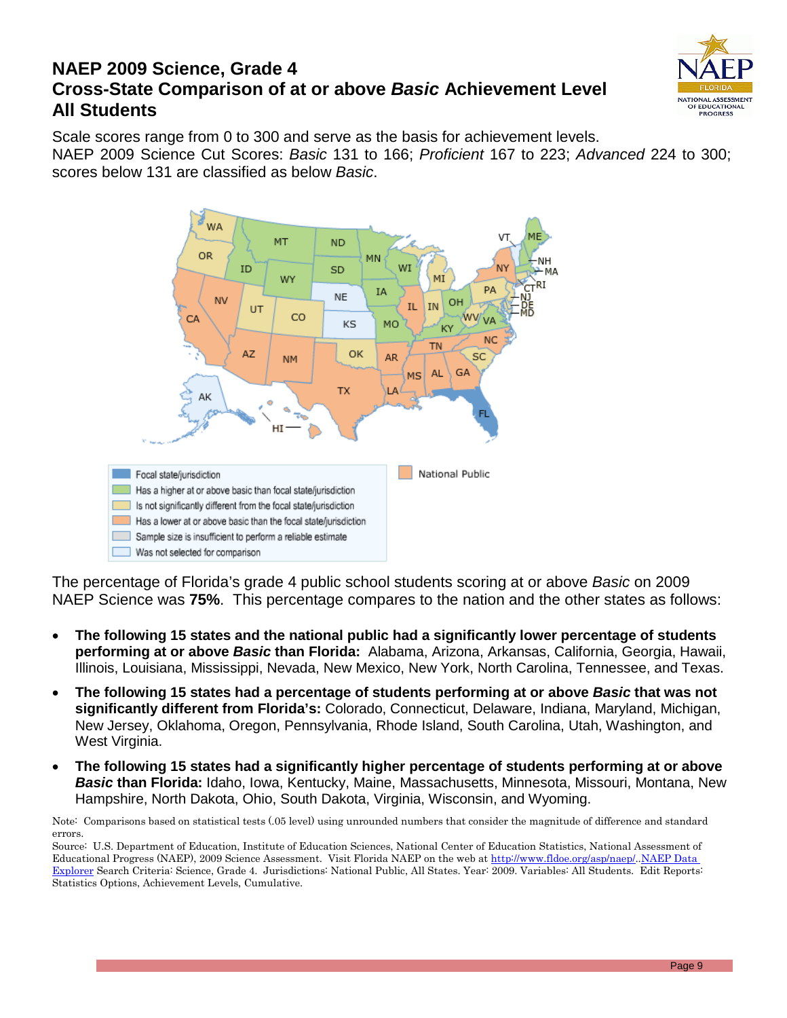### **NAEP 2009 Science, Grade 4 Cross-State Comparison of at or above** *Basic* **Achievement Level All Students**



Scale scores range from 0 to 300 and serve as the basis for achievement levels. NAEP 2009 Science Cut Scores: *Basic* 131 to 166; *Proficient* 167 to 223; *Advanced* 224 to 300; scores below 131 are classified as below *Basic*.



The percentage of Florida's grade 4 public school students scoring at or above *Basic* on 2009 NAEP Science was **75%**. This percentage compares to the nation and the other states as follows:

- **The following 15 states and the national public had a significantly lower percentage of students performing at or above** *Basic* **than Florida:** Alabama, Arizona, Arkansas, California, Georgia, Hawaii, Illinois, Louisiana, Mississippi, Nevada, New Mexico, New York, North Carolina, Tennessee, and Texas.
- **The following 15 states had a percentage of students performing at or above** *Basic* **that was not significantly different from Florida's:** Colorado, Connecticut, Delaware, Indiana, Maryland, Michigan, New Jersey, Oklahoma, Oregon, Pennsylvania, Rhode Island, South Carolina, Utah, Washington, and West Virginia.
- **The following 15 states had a significantly higher percentage of students performing at or above**  *Basic* **than Florida:** Idaho, Iowa, Kentucky, Maine, Massachusetts, Minnesota, Missouri, Montana, New Hampshire, North Dakota, Ohio, South Dakota, Virginia, Wisconsin, and Wyoming.

Note: Comparisons based on statistical tests (.05 level) using unrounded numbers that consider the magnitude of difference and standard errors.

Source: U.S. Department of Education, Institute of Education Sciences, National Center of Education Statistics, National Assessment of Educational Progress (NAEP), 2009 Science Assessment. Visit Florida NAEP on the web at [http://www.fldoe.org/asp/naep/.](http://www.fldoe.org/asp/naep/)[.NAEP Data](http://nces.ed.gov/nationsreportcard/naepdata/)  [Explorer](http://nces.ed.gov/nationsreportcard/naepdata/) Search Criteria: Science, Grade 4. Jurisdictions: National Public, All States. Year: 2009. Variables: All Students. Edit Reports: Statistics Options, Achievement Levels, Cumulative.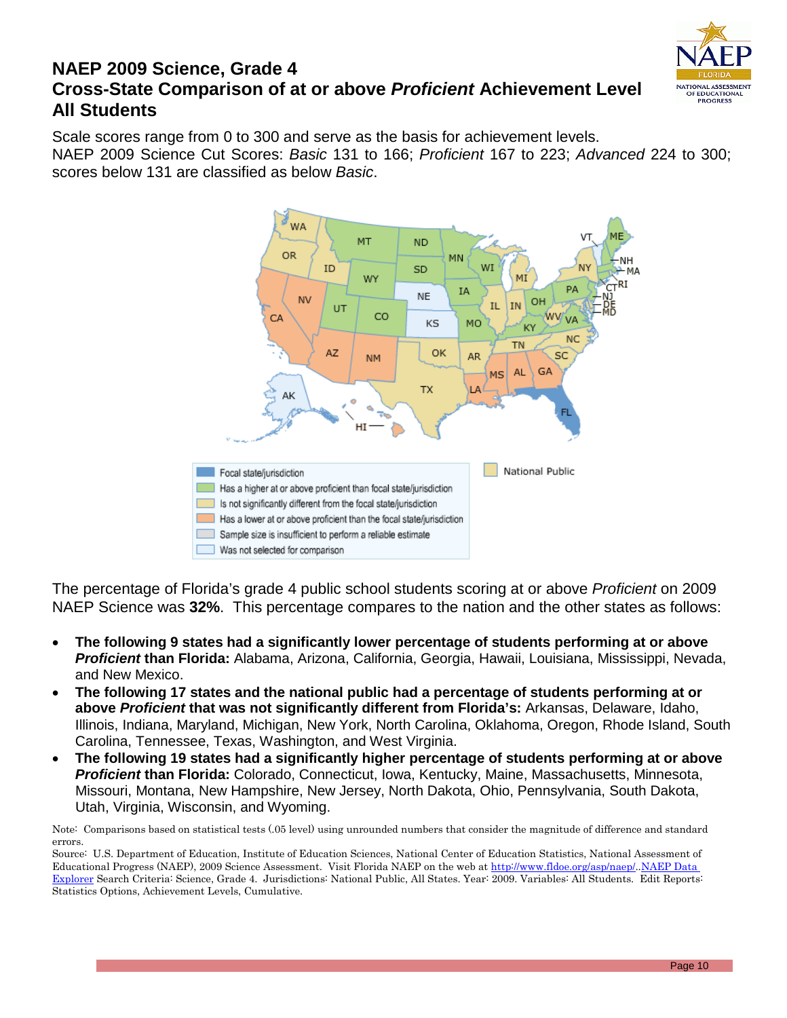

### **NAEP 2009 Science, Grade 4 Cross-State Comparison of at or above** *Proficient* **Achievement Level All Students**

Scale scores range from 0 to 300 and serve as the basis for achievement levels. NAEP 2009 Science Cut Scores: *Basic* 131 to 166; *Proficient* 167 to 223; *Advanced* 224 to 300; scores below 131 are classified as below *Basic*.



The percentage of Florida's grade 4 public school students scoring at or above *Proficient* on 2009 NAEP Science was **32%**. This percentage compares to the nation and the other states as follows:

- **The following 9 states had a significantly lower percentage of students performing at or above**  *Proficient* **than Florida:** Alabama, Arizona, California, Georgia, Hawaii, Louisiana, Mississippi, Nevada, and New Mexico.
- **The following 17 states and the national public had a percentage of students performing at or above** *Proficient* **that was not significantly different from Florida's:** Arkansas, Delaware, Idaho, Illinois, Indiana, Maryland, Michigan, New York, North Carolina, Oklahoma, Oregon, Rhode Island, South Carolina, Tennessee, Texas, Washington, and West Virginia.
- **The following 19 states had a significantly higher percentage of students performing at or above**  *Proficient* **than Florida:** Colorado, Connecticut, Iowa, Kentucky, Maine, Massachusetts, Minnesota, Missouri, Montana, New Hampshire, New Jersey, North Dakota, Ohio, Pennsylvania, South Dakota, Utah, Virginia, Wisconsin, and Wyoming.

Note: Comparisons based on statistical tests (.05 level) using unrounded numbers that consider the magnitude of difference and standard errors.

Source: U.S. Department of Education, Institute of Education Sciences, National Center of Education Statistics, National Assessment of Educational Progress (NAEP), 2009 Science Assessment. Visit Florida NAEP on the web at [http://www.fldoe.org/asp/naep/.](http://www.fldoe.org/asp/naep/).NAEP Data [Explorer](http://nces.ed.gov/nationsreportcard/naepdata/) Search Criteria: Science, Grade 4. Jurisdictions: National Public, All States. Year: 2009. Variables: All Students. Edit Reports: Statistics Options, Achievement Levels, Cumulative.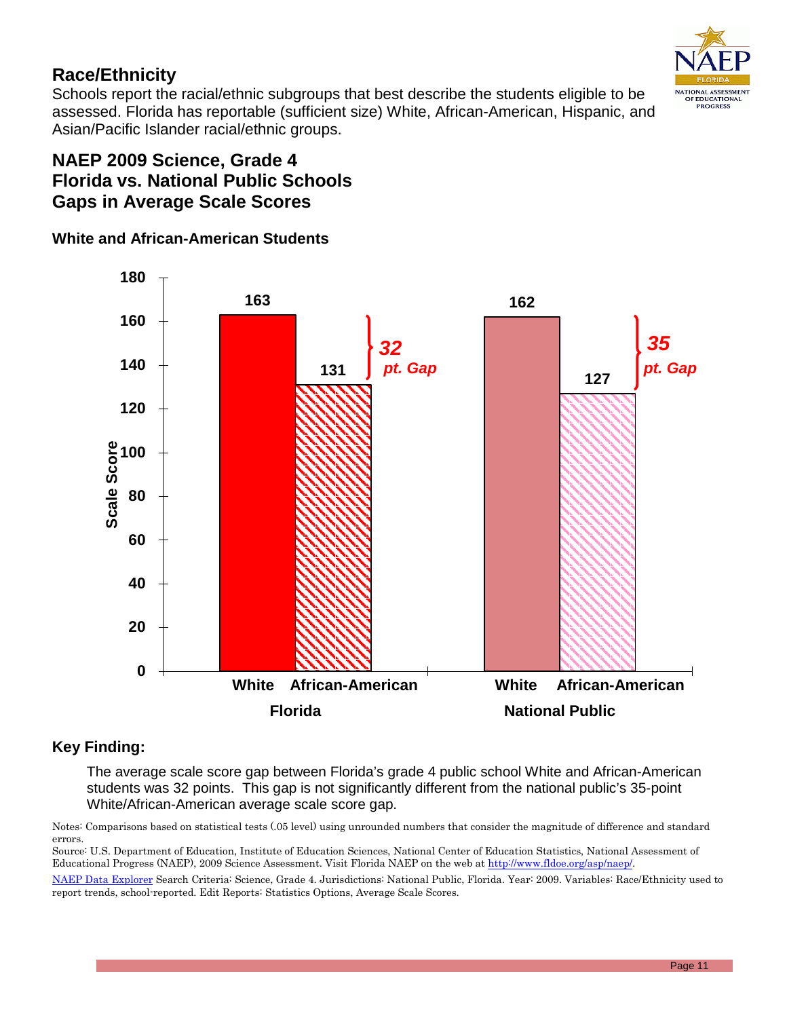

### **Race/Ethnicity**

Schools report the racial/ethnic subgroups that best describe the students eligible to be assessed. Florida has reportable (sufficient size) White, African-American, Hispanic, and Asian/Pacific Islander racial/ethnic groups.

### **NAEP 2009 Science, Grade 4 Florida vs. National Public Schools Gaps in Average Scale Scores**

### **White and African-American Students**



#### **Key Finding:**

The average scale score gap between Florida's grade 4 public school White and African-American students was 32 points. This gap is not significantly different from the national public's 35-point White/African-American average scale score gap.

Notes: Comparisons based on statistical tests (.05 level) using unrounded numbers that consider the magnitude of difference and standard errors.

Source: U.S. Department of Education, Institute of Education Sciences, National Center of Education Statistics, National Assessment of Educational Progress (NAEP), 2009 Science Assessment. Visit Florida NAEP on the web a[t http://www.fldoe.org/asp/naep/.](http://www.fldoe.org/asp/naep/)

[NAEP Data Explorer](http://nces.ed.gov/nationsreportcard/naepdata/) Search Criteria: Science, Grade 4. Jurisdictions: National Public, Florida. Year: 2009. Variables: Race/Ethnicity used to report trends, school-reported. Edit Reports: Statistics Options, Average Scale Scores.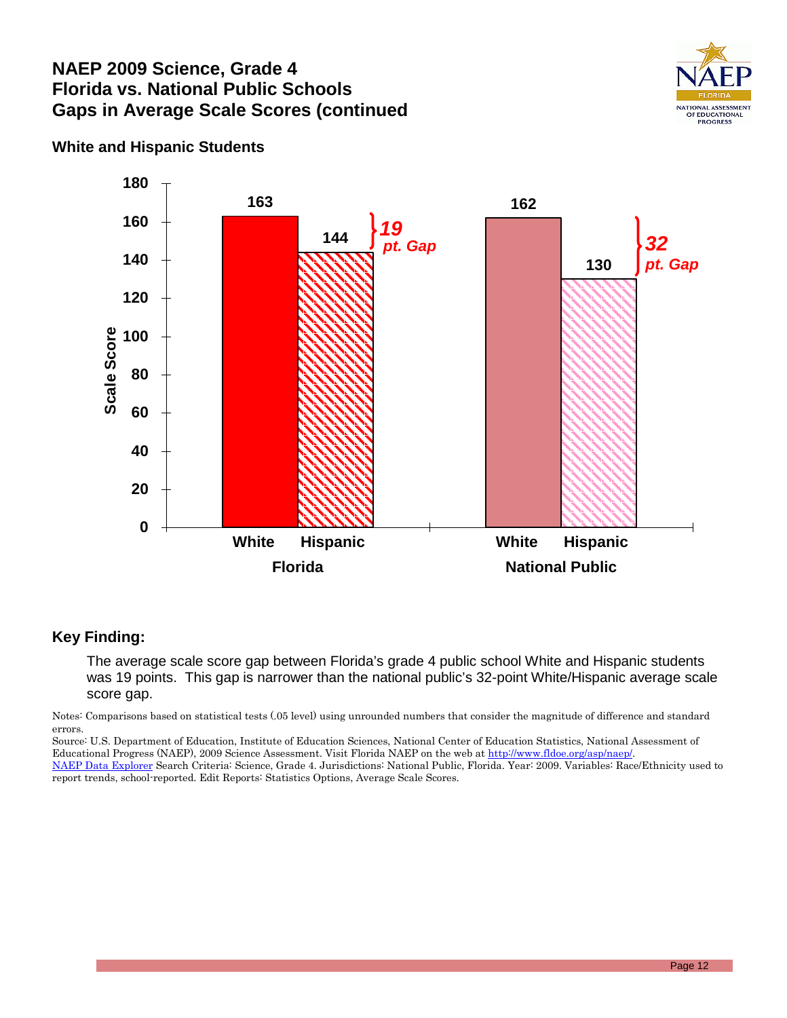### **NAEP 2009 Science, Grade 4 Florida vs. National Public Schools Gaps in Average Scale Scores (continued**



### **White and Hispanic Students**



#### **Key Finding:**

The average scale score gap between Florida's grade 4 public school White and Hispanic students was 19 points. This gap is narrower than the national public's 32-point White/Hispanic average scale score gap.

Notes: Comparisons based on statistical tests (.05 level) using unrounded numbers that consider the magnitude of difference and standard errors.

Source: U.S. Department of Education, Institute of Education Sciences, National Center of Education Statistics, National Assessment of Educational Progress (NAEP), 2009 Science Assessment. Visit Florida NAEP on the web a[t http://www.fldoe.org/asp/naep/.](http://www.fldoe.org/asp/naep/)

[NAEP Data Explorer](http://nces.ed.gov/nationsreportcard/naepdata/) Search Criteria: Science, Grade 4. Jurisdictions: National Public, Florida. Year: 2009. Variables: Race/Ethnicity used to report trends, school-reported. Edit Reports: Statistics Options, Average Scale Scores.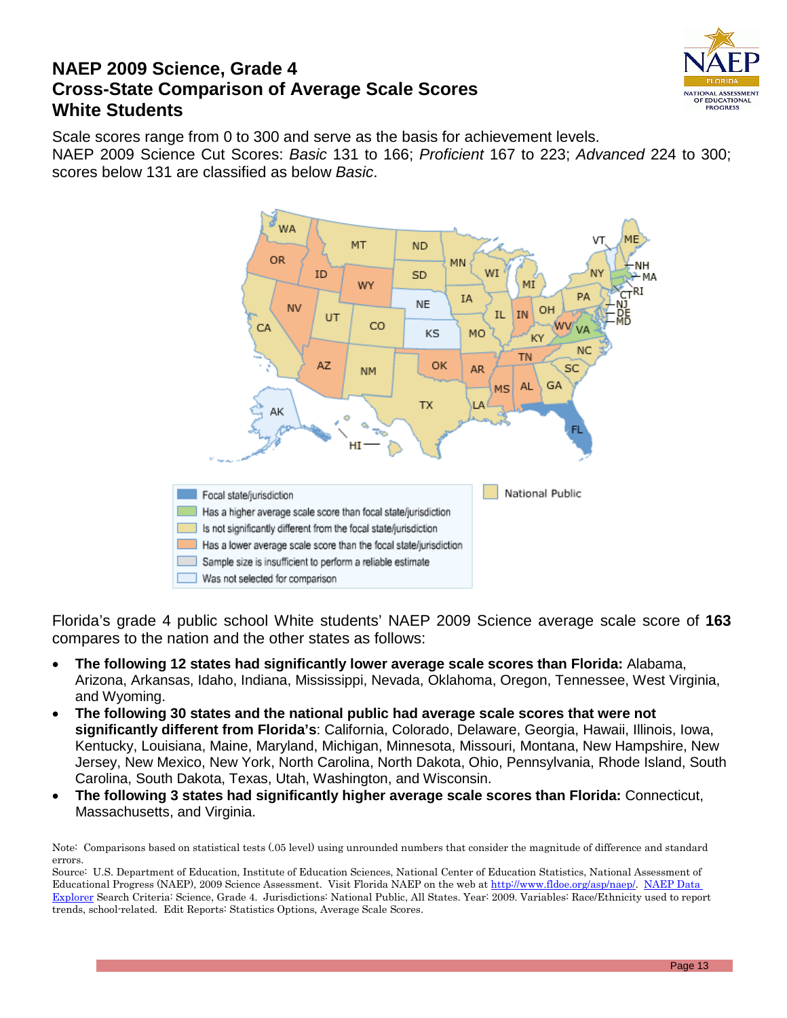

### **NAEP 2009 Science, Grade 4 Cross-State Comparison of Average Scale Scores White Students**

Scale scores range from 0 to 300 and serve as the basis for achievement levels. NAEP 2009 Science Cut Scores: *Basic* 131 to 166; *Proficient* 167 to 223; *Advanced* 224 to 300; scores below 131 are classified as below *Basic*.



Florida's grade 4 public school White students' NAEP 2009 Science average scale score of **163** compares to the nation and the other states as follows:

- **The following 12 states had significantly lower average scale scores than Florida:** Alabama, Arizona, Arkansas, Idaho, Indiana, Mississippi, Nevada, Oklahoma, Oregon, Tennessee, West Virginia, and Wyoming.
- **The following 30 states and the national public had average scale scores that were not significantly different from Florida's**: California, Colorado, Delaware, Georgia, Hawaii, Illinois, Iowa, Kentucky, Louisiana, Maine, Maryland, Michigan, Minnesota, Missouri, Montana, New Hampshire, New Jersey, New Mexico, New York, North Carolina, North Dakota, Ohio, Pennsylvania, Rhode Island, South Carolina, South Dakota, Texas, Utah, Washington, and Wisconsin.
- **The following 3 states had significantly higher average scale scores than Florida:** Connecticut, Massachusetts, and Virginia.

Note: Comparisons based on statistical tests (.05 level) using unrounded numbers that consider the magnitude of difference and standard errors.

Source: U.S. Department of Education, Institute of Education Sciences, National Center of Education Statistics, National Assessment of Educational Progress (NAEP), 2009 Science Assessment. Visit Florida NAEP on the web at [http://www.fldoe.org/asp/naep/.](http://www.fldoe.org/asp/naep/) [NAEP Data](http://nces.ed.gov/nationsreportcard/naepdata/)  [Explorer](http://nces.ed.gov/nationsreportcard/naepdata/) Search Criteria: Science, Grade 4. Jurisdictions: National Public, All States. Year: 2009. Variables: Race/Ethnicity used to report trends, school-related. Edit Reports: Statistics Options, Average Scale Scores.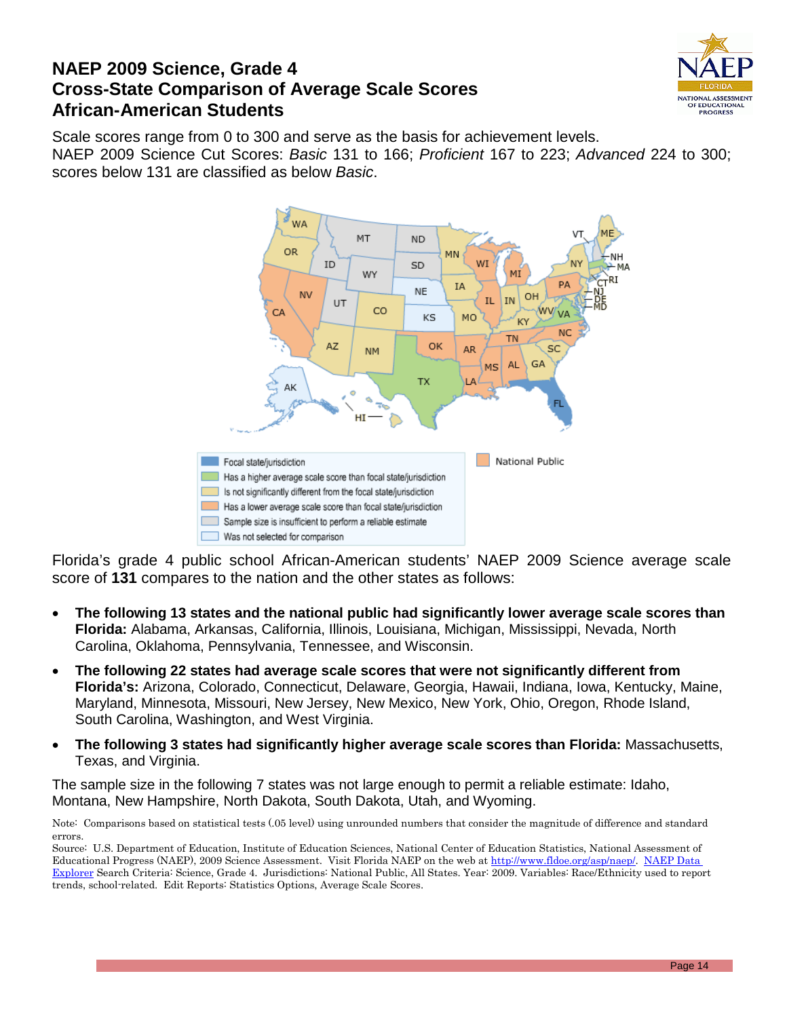

### **NAEP 2009 Science, Grade 4 Cross-State Comparison of Average Scale Scores African-American Students**

Scale scores range from 0 to 300 and serve as the basis for achievement levels. NAEP 2009 Science Cut Scores: *Basic* 131 to 166; *Proficient* 167 to 223; *Advanced* 224 to 300; scores below 131 are classified as below *Basic*.



Florida's grade 4 public school African-American students' NAEP 2009 Science average scale score of **131** compares to the nation and the other states as follows:

- **The following 13 states and the national public had significantly lower average scale scores than Florida:** Alabama, Arkansas, California, Illinois, Louisiana, Michigan, Mississippi, Nevada, North Carolina, Oklahoma, Pennsylvania, Tennessee, and Wisconsin.
- **The following 22 states had average scale scores that were not significantly different from Florida's:** Arizona, Colorado, Connecticut, Delaware, Georgia, Hawaii, Indiana, Iowa, Kentucky, Maine, Maryland, Minnesota, Missouri, New Jersey, New Mexico, New York, Ohio, Oregon, Rhode Island, South Carolina, Washington, and West Virginia.
- **The following 3 states had significantly higher average scale scores than Florida:** Massachusetts, Texas, and Virginia.

The sample size in the following 7 states was not large enough to permit a reliable estimate: Idaho, Montana, New Hampshire, North Dakota, South Dakota, Utah, and Wyoming.

Note: Comparisons based on statistical tests (.05 level) using unrounded numbers that consider the magnitude of difference and standard errors.

Source: U.S. Department of Education, Institute of Education Sciences, National Center of Education Statistics, National Assessment of Educational Progress (NAEP), 2009 Science Assessment. Visit Florida NAEP on the web at [http://www.fldoe.org/asp/naep/.](http://www.fldoe.org/asp/naep/) [NAEP Data](http://nces.ed.gov/nationsreportcard/naepdata/)  [Explorer](http://nces.ed.gov/nationsreportcard/naepdata/) Search Criteria: Science, Grade 4. Jurisdictions: National Public, All States. Year: 2009. Variables: Race/Ethnicity used to report trends, school-related. Edit Reports: Statistics Options, Average Scale Scores.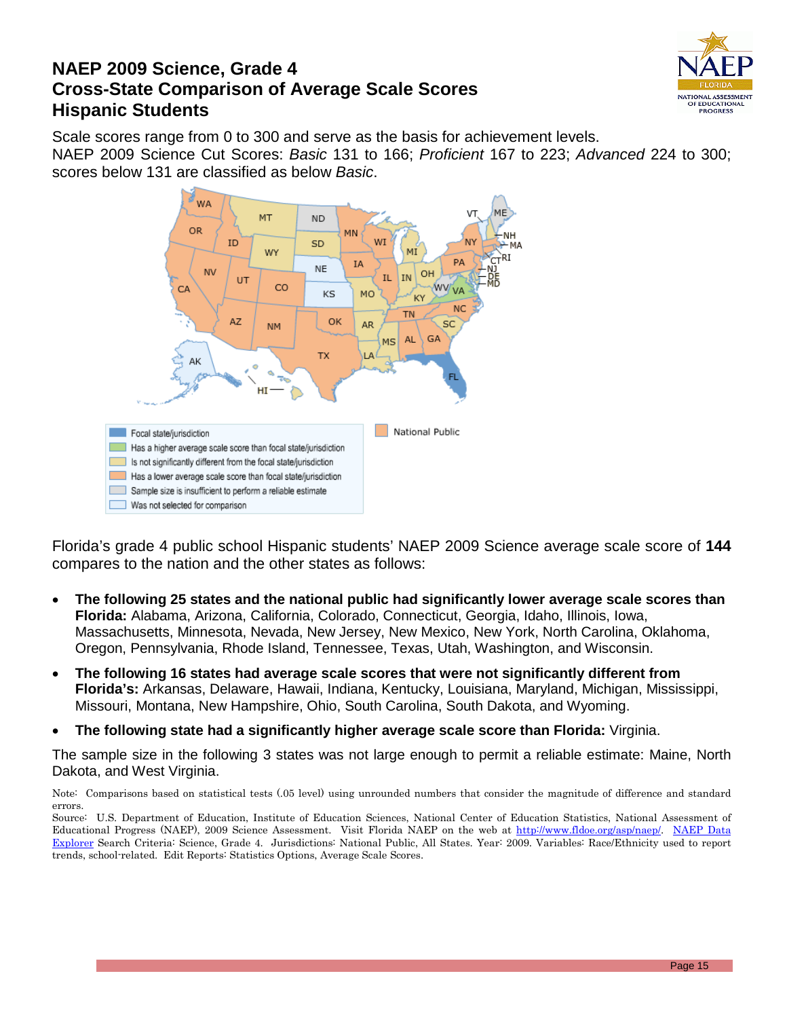

### **NAEP 2009 Science, Grade 4 Cross-State Comparison of Average Scale Scores Hispanic Students**

Scale scores range from 0 to 300 and serve as the basis for achievement levels. NAEP 2009 Science Cut Scores: *Basic* 131 to 166; *Proficient* 167 to 223; *Advanced* 224 to 300; scores below 131 are classified as below *Basic*.



Florida's grade 4 public school Hispanic students' NAEP 2009 Science average scale score of **144** compares to the nation and the other states as follows:

- **The following 25 states and the national public had significantly lower average scale scores than Florida:** Alabama, Arizona, California, Colorado, Connecticut, Georgia, Idaho, Illinois, Iowa, Massachusetts, Minnesota, Nevada, New Jersey, New Mexico, New York, North Carolina, Oklahoma, Oregon, Pennsylvania, Rhode Island, Tennessee, Texas, Utah, Washington, and Wisconsin.
- **The following 16 states had average scale scores that were not significantly different from Florida's:** Arkansas, Delaware, Hawaii, Indiana, Kentucky, Louisiana, Maryland, Michigan, Mississippi, Missouri, Montana, New Hampshire, Ohio, South Carolina, South Dakota, and Wyoming.
- **The following state had a significantly higher average scale score than Florida:** Virginia.

The sample size in the following 3 states was not large enough to permit a reliable estimate: Maine, North Dakota, and West Virginia.

Note: Comparisons based on statistical tests (.05 level) using unrounded numbers that consider the magnitude of difference and standard errors.

Source: U.S. Department of Education, Institute of Education Sciences, National Center of Education Statistics, National Assessment of Educational Progress (NAEP), 2009 Science Assessment. Visit Florida NAEP on the web at [http://www.fldoe.org/asp/naep/.](http://www.fldoe.org/asp/naep/) NAEP Data [Explorer](http://nces.ed.gov/nationsreportcard/naepdata/) Search Criteria: Science, Grade 4. Jurisdictions: National Public, All States. Year: 2009. Variables: Race/Ethnicity used to report trends, school-related. Edit Reports: Statistics Options, Average Scale Scores.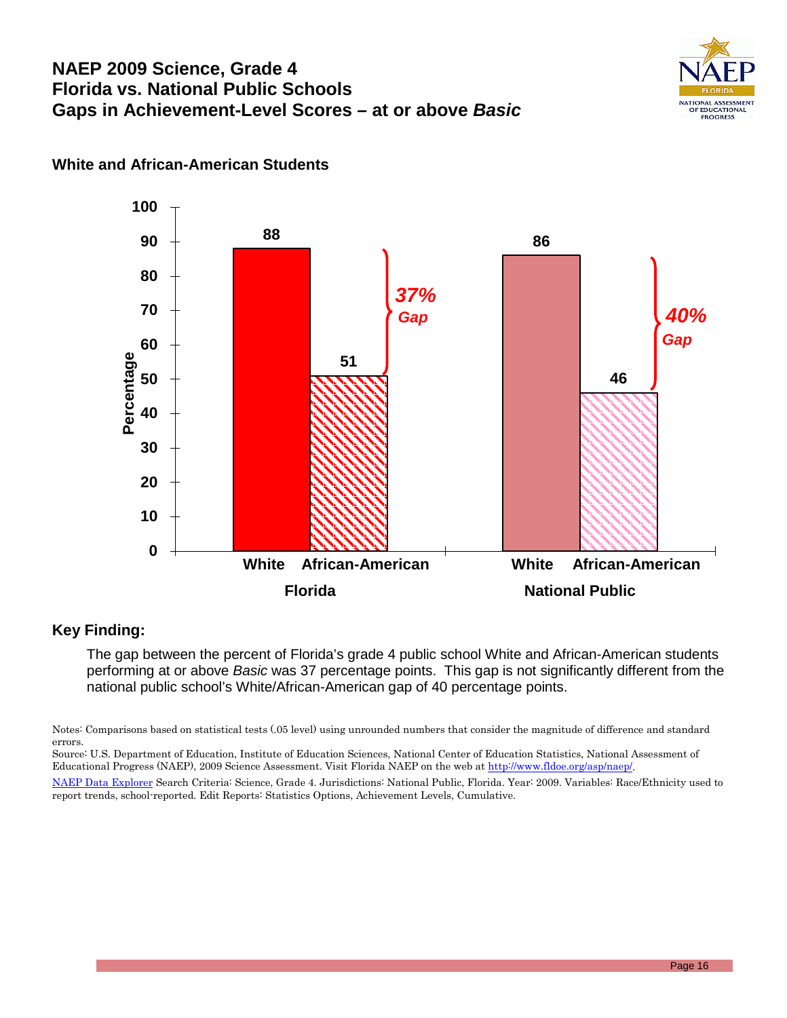# **NAEP 2009 Science, Grade 4 Florida vs. National Public Schools Gaps in Achievement-Level Scores – at or above** *Basic*





### **White and African-American Students**

#### **Key Finding:**

The gap between the percent of Florida's grade 4 public school White and African-American students performing at or above *Basic* was 37 percentage points. This gap is not significantly different from the national public school's White/African-American gap of 40 percentage points.

Notes: Comparisons based on statistical tests (.05 level) using unrounded numbers that consider the magnitude of difference and standard errors.

Source: U.S. Department of Education, Institute of Education Sciences, National Center of Education Statistics, National Assessment of Educational Progress (NAEP), 2009 Science Assessment. Visit Florida NAEP on the web a[t http://www.fldoe.org/asp/naep/.](http://www.fldoe.org/asp/naep/)

[NAEP Data Explorer](http://nces.ed.gov/nationsreportcard/naepdata/) Search Criteria: Science, Grade 4. Jurisdictions: National Public, Florida. Year: 2009. Variables: Race/Ethnicity used to report trends, school-reported. Edit Reports: Statistics Options, Achievement Levels, Cumulative.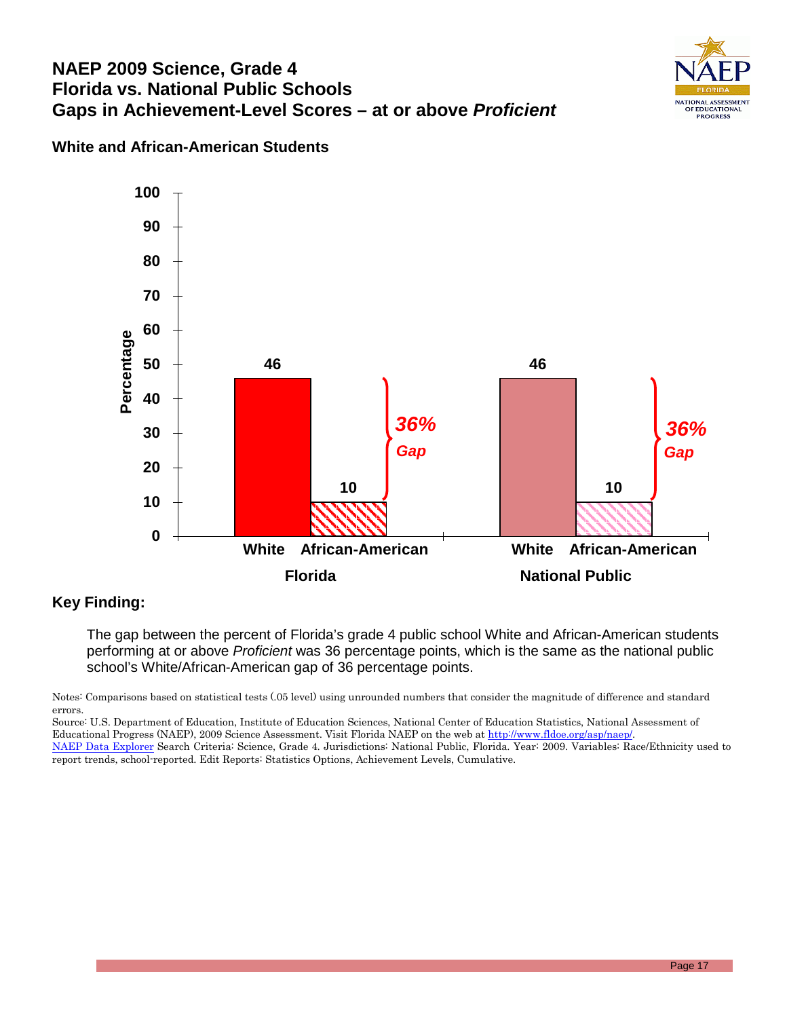### **NAEP 2009 Science, Grade 4 Florida vs. National Public Schools Gaps in Achievement-Level Scores – at or above** *Proficient*



#### **White and African-American Students**



#### **Key Finding:**

The gap between the percent of Florida's grade 4 public school White and African-American students performing at or above *Proficient* was 36 percentage points, which is the same as the national public school's White/African-American gap of 36 percentage points.

Source: U.S. Department of Education, Institute of Education Sciences, National Center of Education Statistics, National Assessment of Educational Progress (NAEP), 2009 Science Assessment. Visit Florida NAEP on the web a[t http://www.fldoe.org/asp/naep/.](http://www.fldoe.org/asp/naep/)

[NAEP Data Explorer](http://nces.ed.gov/nationsreportcard/naepdata/) Search Criteria: Science, Grade 4. Jurisdictions: National Public, Florida. Year: 2009. Variables: Race/Ethnicity used to report trends, school-reported. Edit Reports: Statistics Options, Achievement Levels, Cumulative.

Notes: Comparisons based on statistical tests (.05 level) using unrounded numbers that consider the magnitude of difference and standard errors.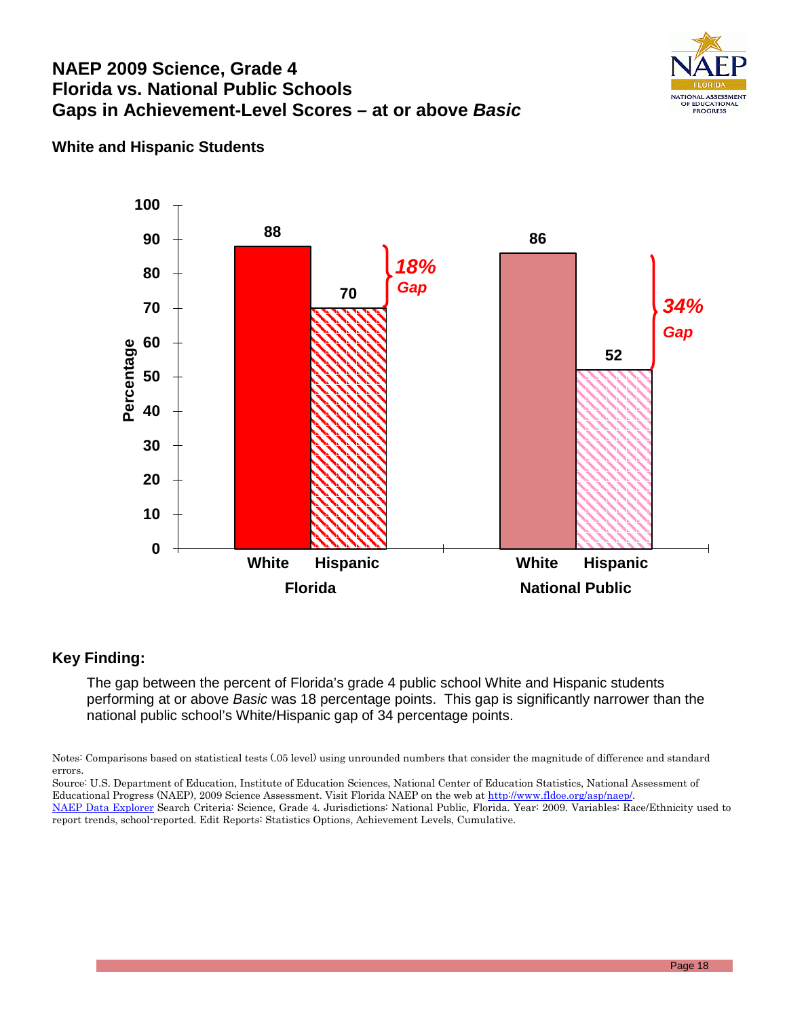### **NAEP 2009 Science, Grade 4 Florida vs. National Public Schools Gaps in Achievement-Level Scores – at or above** *Basic*



#### **White and Hispanic Students**



#### **Key Finding:**

The gap between the percent of Florida's grade 4 public school White and Hispanic students performing at or above *Basic* was 18 percentage points. This gap is significantly narrower than the national public school's White/Hispanic gap of 34 percentage points.

Notes: Comparisons based on statistical tests (.05 level) using unrounded numbers that consider the magnitude of difference and standard errors.

- Source: U.S. Department of Education, Institute of Education Sciences, National Center of Education Statistics, National Assessment of Educational Progress (NAEP), 2009 Science Assessment. Visit Florida NAEP on the web a[t http://www.fldoe.org/asp/naep/.](http://www.fldoe.org/asp/naep/)
- [NAEP Data Explorer](http://nces.ed.gov/nationsreportcard/naepdata/) Search Criteria: Science, Grade 4. Jurisdictions: National Public, Florida. Year: 2009. Variables: Race/Ethnicity used to report trends, school-reported. Edit Reports: Statistics Options, Achievement Levels, Cumulative.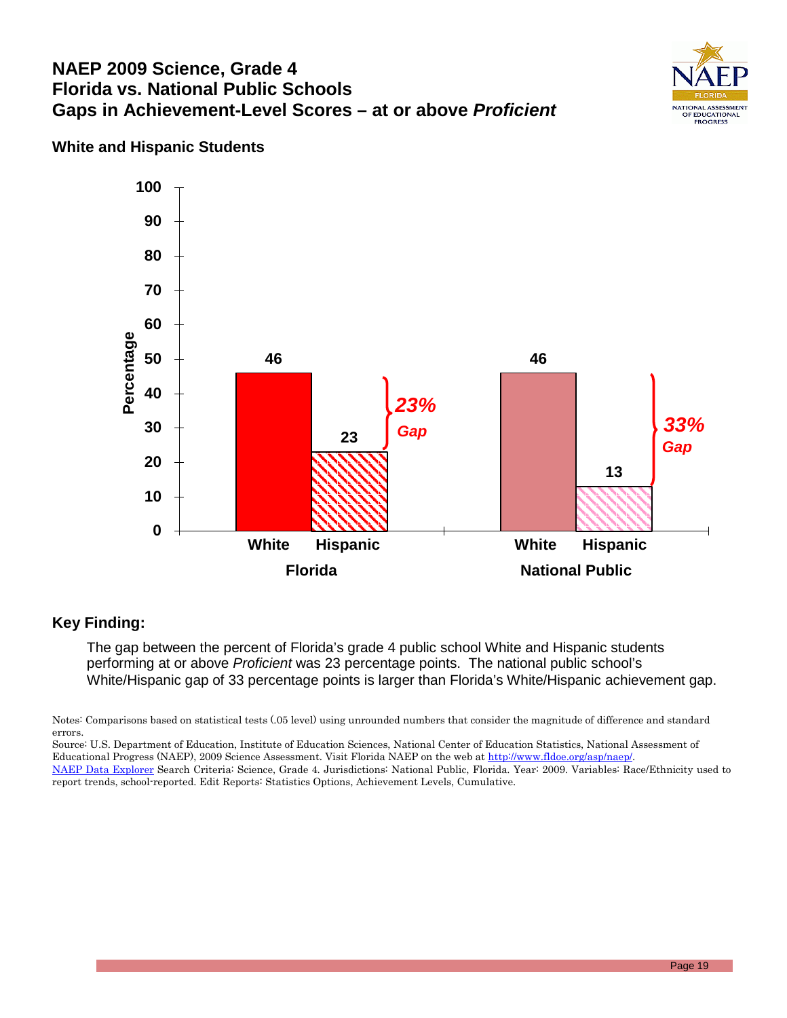### **NAEP 2009 Science, Grade 4 Florida vs. National Public Schools Gaps in Achievement-Level Scores – at or above** *Proficient*



### **White and Hispanic Students**



#### **Key Finding:**

The gap between the percent of Florida's grade 4 public school White and Hispanic students performing at or above *Proficient* was 23 percentage points. The national public school's White/Hispanic gap of 33 percentage points is larger than Florida's White/Hispanic achievement gap.

Notes: Comparisons based on statistical tests (.05 level) using unrounded numbers that consider the magnitude of difference and standard errors.

Source: U.S. Department of Education, Institute of Education Sciences, National Center of Education Statistics, National Assessment of Educational Progress (NAEP), 2009 Science Assessment. Visit Florida NAEP on the web a[t http://www.fldoe.org/asp/naep/.](http://www.fldoe.org/asp/naep/) [NAEP Data Explorer](http://nces.ed.gov/nationsreportcard/naepdata/) Search Criteria: Science, Grade 4. Jurisdictions: National Public, Florida. Year: 2009. Variables: Race/Ethnicity used to report trends, school-reported. Edit Reports: Statistics Options, Achievement Levels, Cumulative.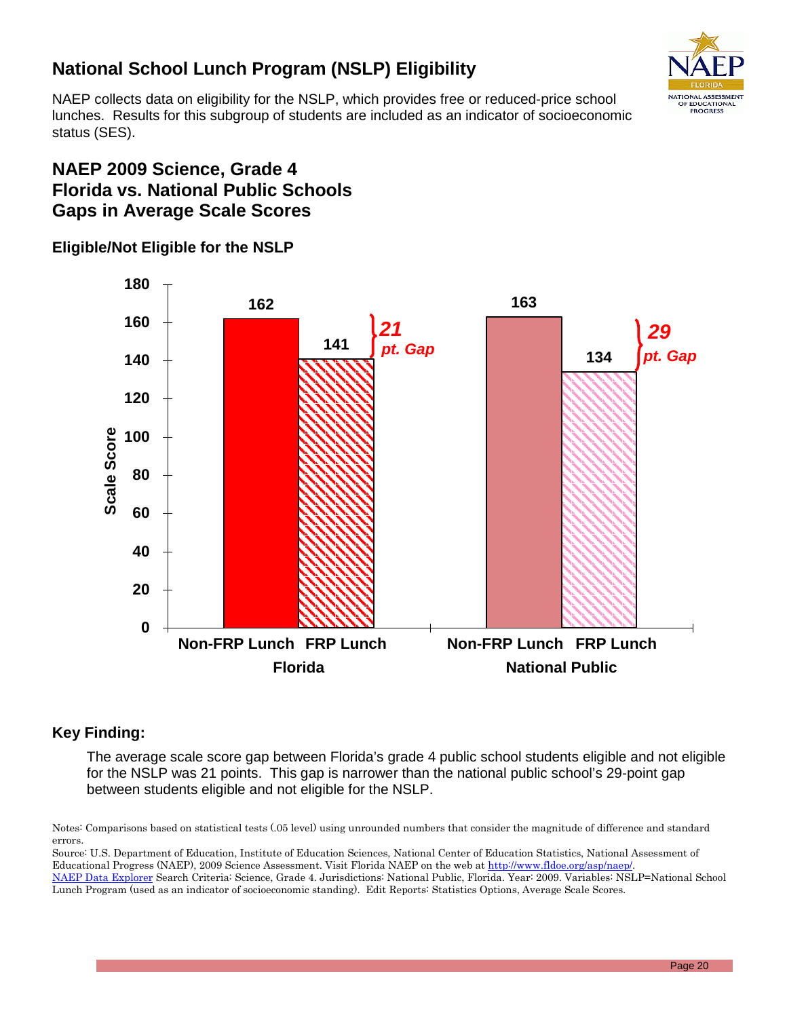# **National School Lunch Program (NSLP) Eligibility**

NATIONAL ASSESSMENT OF EDUCATIONAL PROGRESS

NAEP collects data on eligibility for the NSLP, which provides free or reduced-price school lunches. Results for this subgroup of students are included as an indicator of socioeconomic status (SES).

# **NAEP 2009 Science, Grade 4 Florida vs. National Public Schools Gaps in Average Scale Scores**

### **Eligible/Not Eligible for the NSLP**



### **Key Finding:**

The average scale score gap between Florida's grade 4 public school students eligible and not eligible for the NSLP was 21 points. This gap is narrower than the national public school's 29-point gap between students eligible and not eligible for the NSLP.

Notes: Comparisons based on statistical tests (.05 level) using unrounded numbers that consider the magnitude of difference and standard errors.

Source: U.S. Department of Education, Institute of Education Sciences, National Center of Education Statistics, National Assessment of Educational Progress (NAEP), 2009 Science Assessment. Visit Florida NAEP on the web a[t http://www.fldoe.org/asp/naep/.](http://www.fldoe.org/asp/naep/) [NAEP Data Explorer](http://nces.ed.gov/nationsreportcard/naepdata/) Search Criteria: Science, Grade 4. Jurisdictions: National Public, Florida. Year: 2009. Variables: NSLP=National School Lunch Program (used as an indicator of socioeconomic standing). Edit Reports: Statistics Options, Average Scale Scores.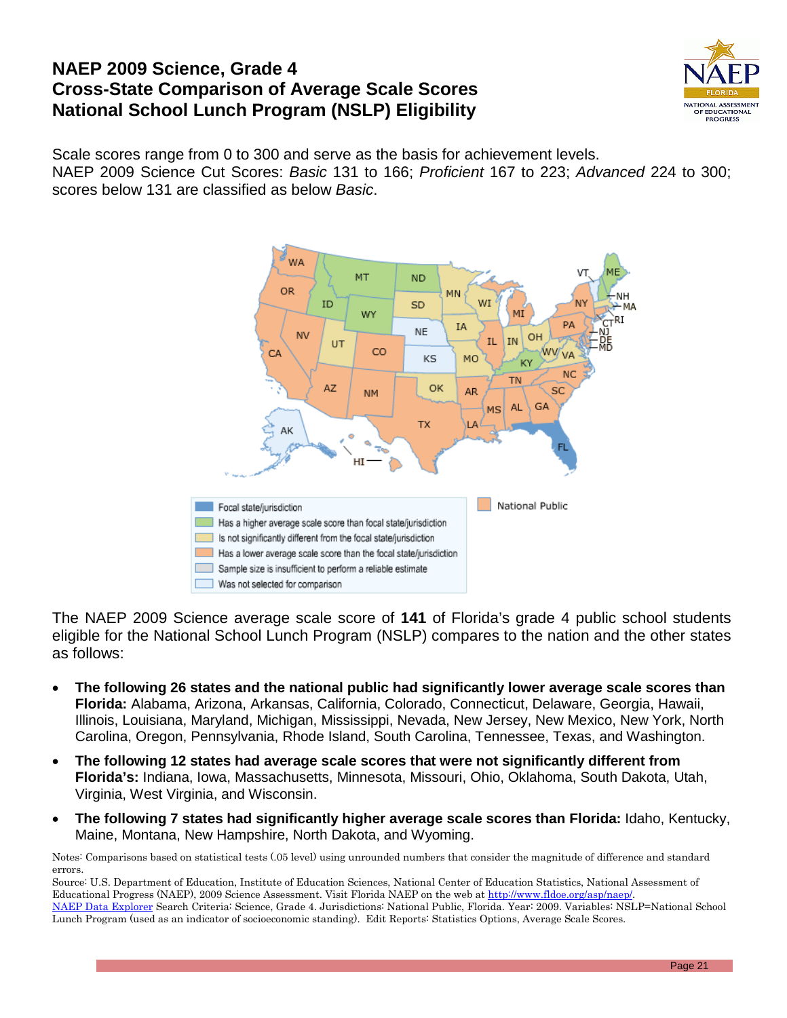### **NAEP 2009 Science, Grade 4 Cross-State Comparison of Average Scale Scores National School Lunch Program (NSLP) Eligibility**



Scale scores range from 0 to 300 and serve as the basis for achievement levels. NAEP 2009 Science Cut Scores: *Basic* 131 to 166; *Proficient* 167 to 223; *Advanced* 224 to 300; scores below 131 are classified as below *Basic*.



The NAEP 2009 Science average scale score of **141** of Florida's grade 4 public school students eligible for the National School Lunch Program (NSLP) compares to the nation and the other states as follows:

- **The following 26 states and the national public had significantly lower average scale scores than Florida:** Alabama, Arizona, Arkansas, California, Colorado, Connecticut, Delaware, Georgia, Hawaii, Illinois, Louisiana, Maryland, Michigan, Mississippi, Nevada, New Jersey, New Mexico, New York, North Carolina, Oregon, Pennsylvania, Rhode Island, South Carolina, Tennessee, Texas, and Washington.
- **The following 12 states had average scale scores that were not significantly different from Florida's:** Indiana, Iowa, Massachusetts, Minnesota, Missouri, Ohio, Oklahoma, South Dakota, Utah, Virginia, West Virginia, and Wisconsin.
- **The following 7 states had significantly higher average scale scores than Florida:** Idaho, Kentucky, Maine, Montana, New Hampshire, North Dakota, and Wyoming.

Notes: Comparisons based on statistical tests (.05 level) using unrounded numbers that consider the magnitude of difference and standard errors.

Source: U.S. Department of Education, Institute of Education Sciences, National Center of Education Statistics, National Assessment of Educational Progress (NAEP), 2009 Science Assessment. Visit Florida NAEP on the web at http://www.fldoe.org/asp/naep. [NAEP Data Explorer](http://nces.ed.gov/nationsreportcard/naepdata/) Search Criteria: Science, Grade 4. Jurisdictions: National Public, Florida. Year: 2009. Variables: NSLP=National School Lunch Program (used as an indicator of socioeconomic standing). Edit Reports: Statistics Options, Average Scale Scores.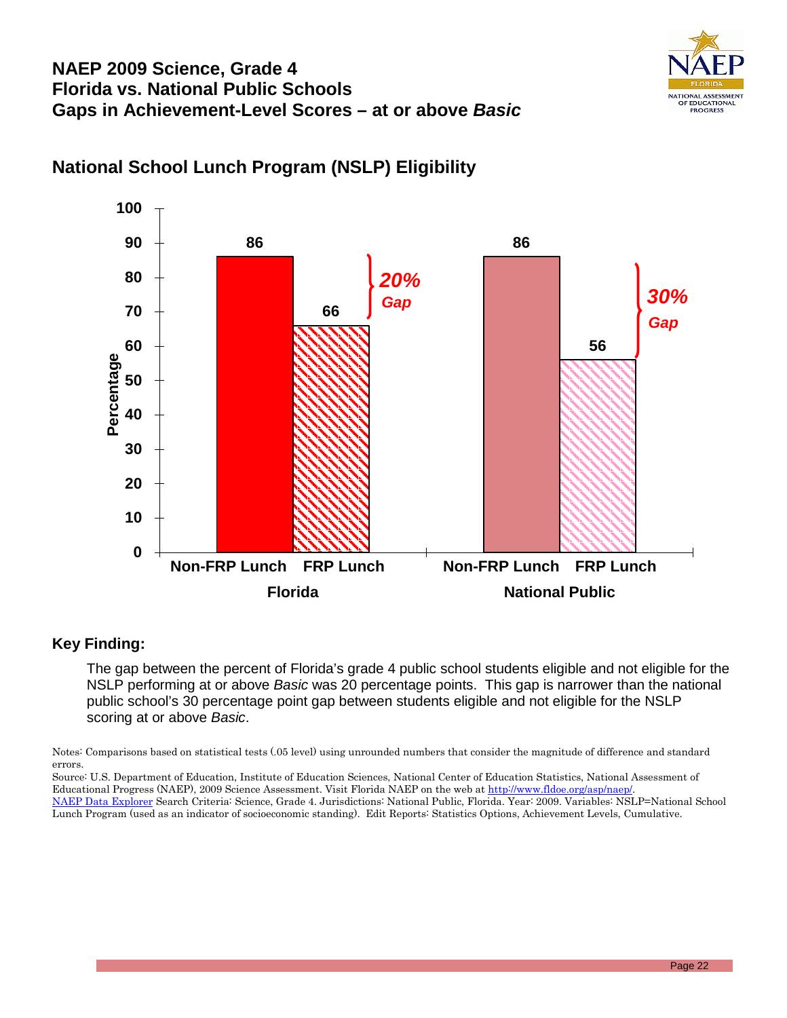



# **National School Lunch Program (NSLP) Eligibility**

#### **Key Finding:**

The gap between the percent of Florida's grade 4 public school students eligible and not eligible for the NSLP performing at or above *Basic* was 20 percentage points. This gap is narrower than the national public school's 30 percentage point gap between students eligible and not eligible for the NSLP scoring at or above *Basic*.

Notes: Comparisons based on statistical tests (.05 level) using unrounded numbers that consider the magnitude of difference and standard errors.

Source: U.S. Department of Education, Institute of Education Sciences, National Center of Education Statistics, National Assessment of Educational Progress (NAEP), 2009 Science Assessment. Visit Florida NAEP on the web at http://www.fldoe.org/asp/naep [NAEP Data Explorer](http://nces.ed.gov/nationsreportcard/naepdata/) Search Criteria: Science, Grade 4. Jurisdictions: National Public, Florida. Year: 2009. Variables: NSLP=National School

Lunch Program (used as an indicator of socioeconomic standing). Edit Reports: Statistics Options, Achievement Levels, Cumulative.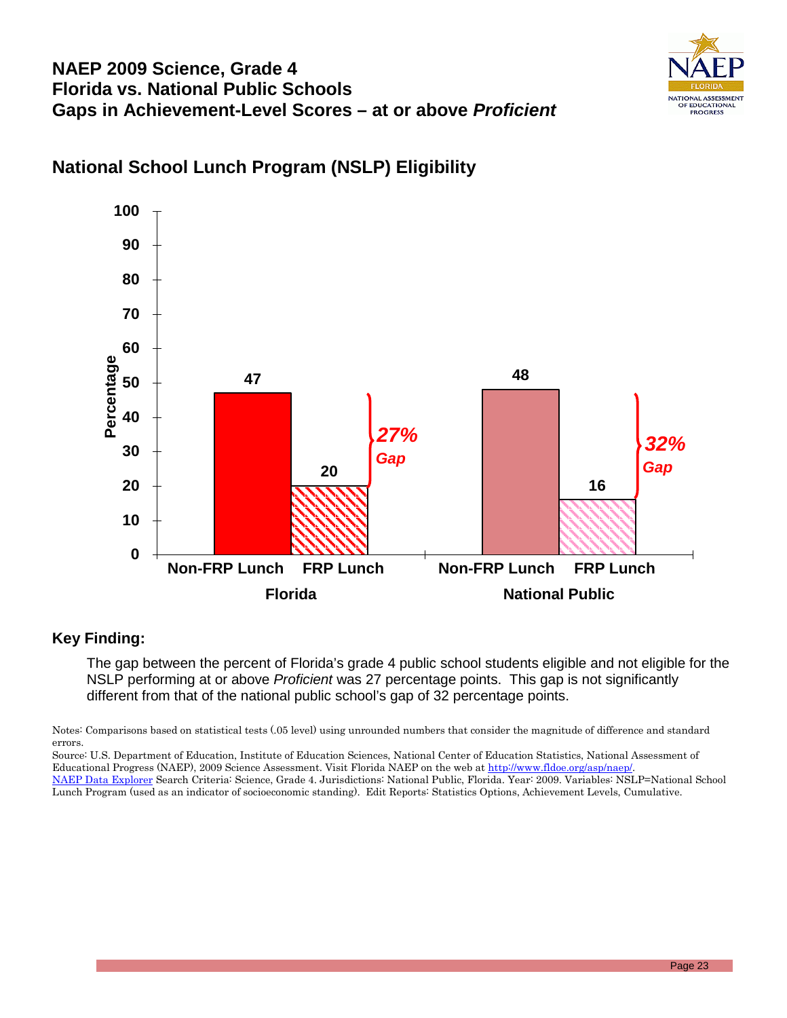# **NAEP 2009 Science, Grade 4 Florida vs. National Public Schools Gaps in Achievement-Level Scores – at or above** *Proficient*



# **National School Lunch Program (NSLP) Eligibility**



#### **Key Finding:**

The gap between the percent of Florida's grade 4 public school students eligible and not eligible for the NSLP performing at or above *Proficient* was 27 percentage points. This gap is not significantly different from that of the national public school's gap of 32 percentage points.

Notes: Comparisons based on statistical tests (.05 level) using unrounded numbers that consider the magnitude of difference and standard errors.

Source: U.S. Department of Education, Institute of Education Sciences, National Center of Education Statistics, National Assessment of Educational Progress (NAEP), 2009 Science Assessment. Visit Florida NAEP on the web a[t http://www.fldoe.org/asp/naep/.](http://www.fldoe.org/asp/naep/) [NAEP Data Explorer](http://nces.ed.gov/nationsreportcard/naepdata/) Search Criteria: Science, Grade 4. Jurisdictions: National Public, Florida. Year: 2009. Variables: NSLP=National School

Lunch Program (used as an indicator of socioeconomic standing). Edit Reports: Statistics Options, Achievement Levels, Cumulative.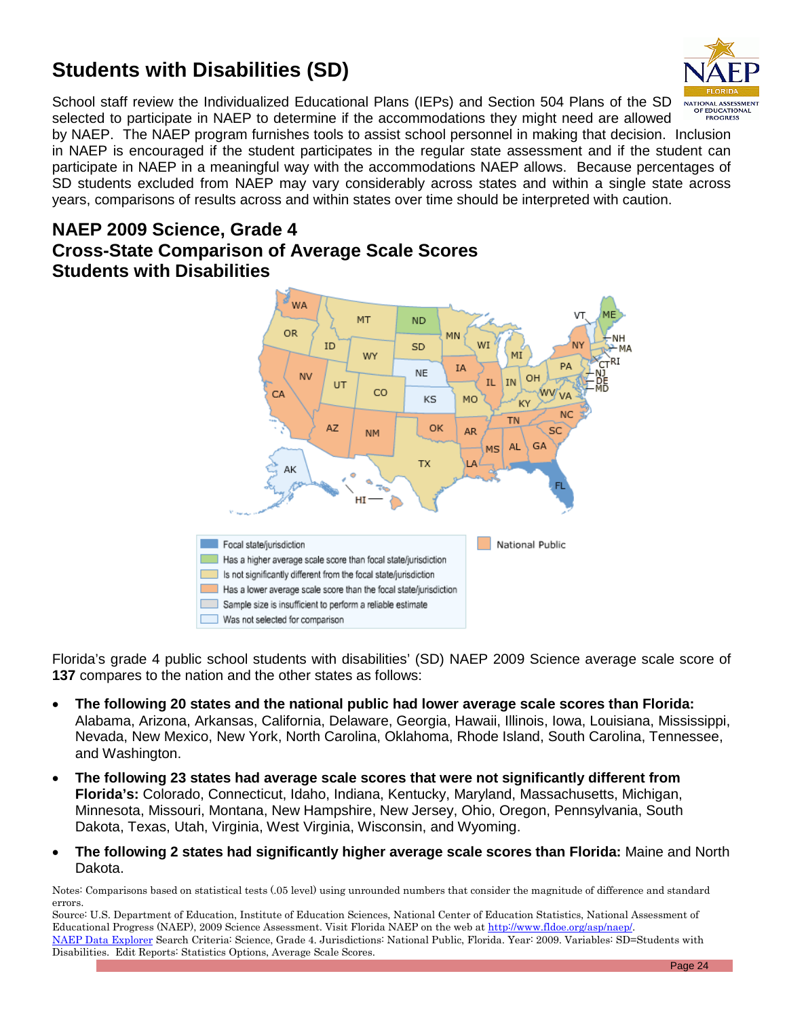# **Students with Disabilities (SD)**



School staff review the Individualized Educational Plans (IEPs) and Section 504 Plans of the SD selected to participate in NAEP to determine if the accommodations they might need are allowed

by NAEP. The NAEP program furnishes tools to assist school personnel in making that decision. Inclusion in NAEP is encouraged if the student participates in the regular state assessment and if the student can participate in NAEP in a meaningful way with the accommodations NAEP allows. Because percentages of SD students excluded from NAEP may vary considerably across states and within a single state across years, comparisons of results across and within states over time should be interpreted with caution.

### **NAEP 2009 Science, Grade 4 Cross-State Comparison of Average Scale Scores Students with Disabilities**



Florida's grade 4 public school students with disabilities' (SD) NAEP 2009 Science average scale score of **137** compares to the nation and the other states as follows:

- **The following 20 states and the national public had lower average scale scores than Florida:**  Alabama, Arizona, Arkansas, California, Delaware, Georgia, Hawaii, Illinois, Iowa, Louisiana, Mississippi, Nevada, New Mexico, New York, North Carolina, Oklahoma, Rhode Island, South Carolina, Tennessee, and Washington.
- **The following 23 states had average scale scores that were not significantly different from Florida's:** Colorado, Connecticut, Idaho, Indiana, Kentucky, Maryland, Massachusetts, Michigan, Minnesota, Missouri, Montana, New Hampshire, New Jersey, Ohio, Oregon, Pennsylvania, South Dakota, Texas, Utah, Virginia, West Virginia, Wisconsin, and Wyoming.
- **The following 2 states had significantly higher average scale scores than Florida:** Maine and North Dakota.

Notes: Comparisons based on statistical tests (.05 level) using unrounded numbers that consider the magnitude of difference and standard errors.

Source: U.S. Department of Education, Institute of Education Sciences, National Center of Education Statistics, National Assessment of Educational Progress (NAEP), 2009 Science Assessment. Visit Florida NAEP on the web a[t http://www.fldoe.org/asp/naep/.](http://www.fldoe.org/asp/naep/) [NAEP Data Explorer](http://nces.ed.gov/nationsreportcard/naepdata/) Search Criteria: Science, Grade 4. Jurisdictions: National Public, Florida. Year: 2009. Variables: SD=Students with Disabilities. Edit Reports: Statistics Options, Average Scale Scores.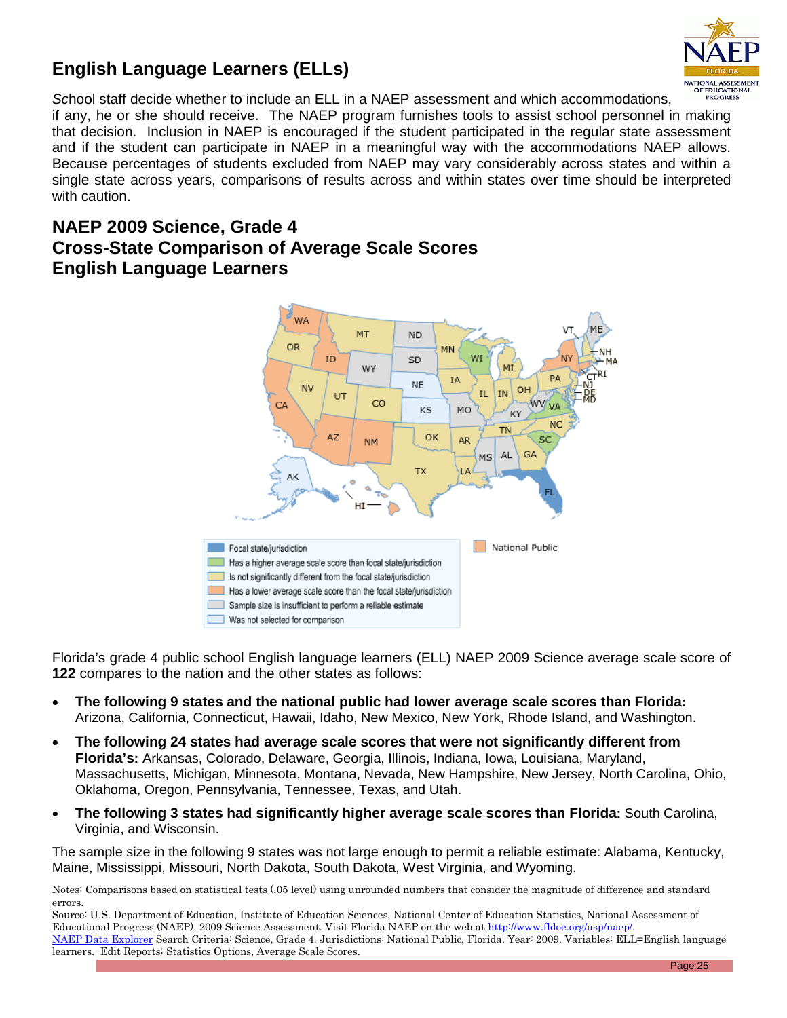



*Sc*hool staff decide whether to include an ELL in a NAEP assessment and which accommodations,

if any, he or she should receive. The NAEP program furnishes tools to assist school personnel in making that decision. Inclusion in NAEP is encouraged if the student participated in the regular state assessment and if the student can participate in NAEP in a meaningful way with the accommodations NAEP allows. Because percentages of students excluded from NAEP may vary considerably across states and within a single state across years, comparisons of results across and within states over time should be interpreted with caution.

### **NAEP 2009 Science, Grade 4 Cross-State Comparison of Average Scale Scores English Language Learners**



Florida's grade 4 public school English language learners (ELL) NAEP 2009 Science average scale score of **122** compares to the nation and the other states as follows:

- **The following 9 states and the national public had lower average scale scores than Florida:**  Arizona, California, Connecticut, Hawaii, Idaho, New Mexico, New York, Rhode Island, and Washington.
- **The following 24 states had average scale scores that were not significantly different from Florida's:** Arkansas, Colorado, Delaware, Georgia, Illinois, Indiana, Iowa, Louisiana, Maryland, Massachusetts, Michigan, Minnesota, Montana, Nevada, New Hampshire, New Jersey, North Carolina, Ohio, Oklahoma, Oregon, Pennsylvania, Tennessee, Texas, and Utah.
- **The following 3 states had significantly higher average scale scores than Florida:** South Carolina, Virginia, and Wisconsin.

The sample size in the following 9 states was not large enough to permit a reliable estimate: Alabama, Kentucky, Maine, Mississippi, Missouri, North Dakota, South Dakota, West Virginia, and Wyoming.

Notes: Comparisons based on statistical tests (.05 level) using unrounded numbers that consider the magnitude of difference and standard errors.

Source: U.S. Department of Education, Institute of Education Sciences, National Center of Education Statistics, National Assessment of Educational Progress (NAEP), 2009 Science Assessment. Visit Florida NAEP on the web a[t http://www.fldoe.org/asp/naep/.](http://www.fldoe.org/asp/naep/) [NAEP Data Explorer](http://nces.ed.gov/nationsreportcard/naepdata/) Search Criteria: Science, Grade 4. Jurisdictions: National Public, Florida. Year: 2009. Variables: ELL=English language learners. Edit Reports: Statistics Options, Average Scale Scores.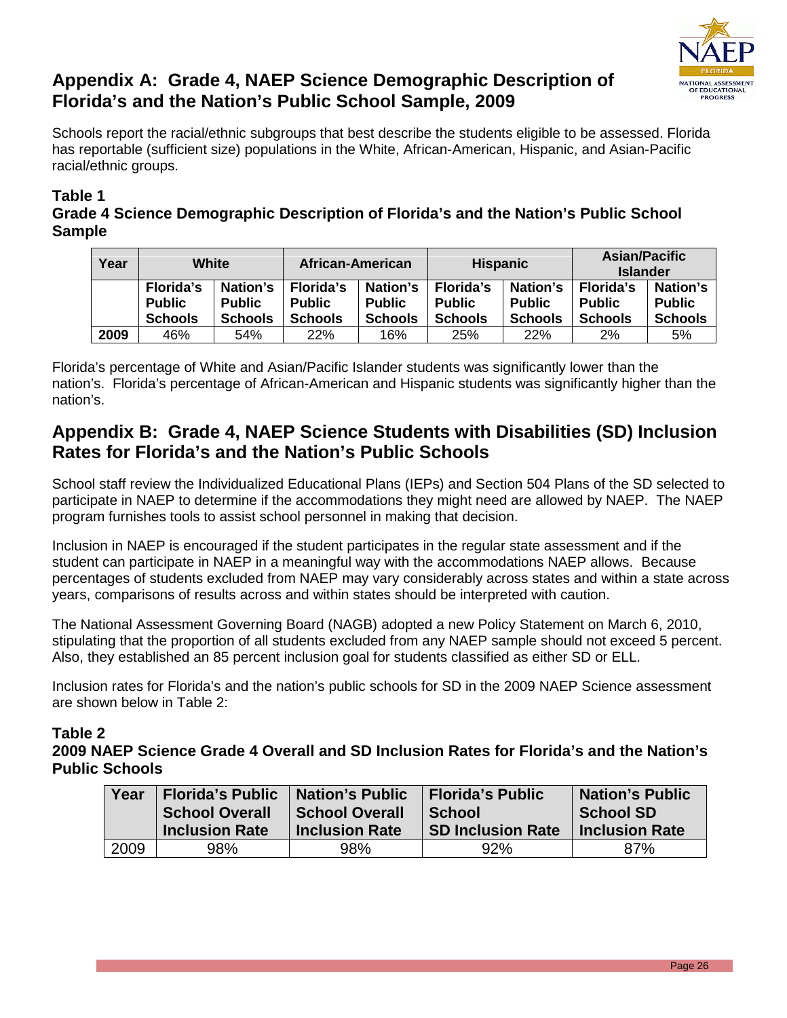

# **Appendix A: Grade 4, NAEP Science Demographic Description of Florida's and the Nation's Public School Sample, 2009**

Schools report the racial/ethnic subgroups that best describe the students eligible to be assessed. Florida has reportable (sufficient size) populations in the White, African-American, Hispanic, and Asian-Pacific racial/ethnic groups.

### **Table 1**

**Grade 4 Science Demographic Description of Florida's and the Nation's Public School Sample**

| Year | White                                               |                                             | African-American                                    |                                             | <b>Hispanic</b>                                     |                                             | <b>Asian/Pacific</b><br><b>Islander</b>             |                                             |
|------|-----------------------------------------------------|---------------------------------------------|-----------------------------------------------------|---------------------------------------------|-----------------------------------------------------|---------------------------------------------|-----------------------------------------------------|---------------------------------------------|
|      | <b>Florida's</b><br><b>Public</b><br><b>Schools</b> | Nation's<br><b>Public</b><br><b>Schools</b> | <b>Florida's</b><br><b>Public</b><br><b>Schools</b> | Nation's<br><b>Public</b><br><b>Schools</b> | <b>Florida's</b><br><b>Public</b><br><b>Schools</b> | Nation's<br><b>Public</b><br><b>Schools</b> | <b>Florida's</b><br><b>Public</b><br><b>Schools</b> | Nation's<br><b>Public</b><br><b>Schools</b> |
| 2009 | 46%                                                 | 54%                                         | 22%                                                 | 16%                                         | 25%                                                 | 22%                                         | 2%                                                  | 5%                                          |

Florida's percentage of White and Asian/Pacific Islander students was significantly lower than the nation's. Florida's percentage of African-American and Hispanic students was significantly higher than the nation's.

# **Appendix B: Grade 4, NAEP Science Students with Disabilities (SD) Inclusion Rates for Florida's and the Nation's Public Schools**

School staff review the Individualized Educational Plans (IEPs) and Section 504 Plans of the SD selected to participate in NAEP to determine if the accommodations they might need are allowed by NAEP. The NAEP program furnishes tools to assist school personnel in making that decision.

Inclusion in NAEP is encouraged if the student participates in the regular state assessment and if the student can participate in NAEP in a meaningful way with the accommodations NAEP allows. Because percentages of students excluded from NAEP may vary considerably across states and within a state across years, comparisons of results across and within states should be interpreted with caution.

The National Assessment Governing Board (NAGB) adopted a new Policy Statement on March 6, 2010, stipulating that the proportion of all students excluded from any NAEP sample should not exceed 5 percent. Also, they established an 85 percent inclusion goal for students classified as either SD or ELL.

Inclusion rates for Florida's and the nation's public schools for SD in the 2009 NAEP Science assessment are shown below in Table 2:

### **Table 2**

**2009 NAEP Science Grade 4 Overall and SD Inclusion Rates for Florida's and the Nation's Public Schools**

| Year | <b>Florida's Public</b><br><b>Nation's Public</b><br><b>School Overall</b><br><b>School Overall</b><br><b>Inclusion Rate</b><br><b>Inclusion Rate</b> |     | <b>Florida's Public</b><br><b>School</b><br><b>SD Inclusion Rate</b> | <b>Nation's Public</b><br><b>School SD</b><br><b>Inclusion Rate</b> |
|------|-------------------------------------------------------------------------------------------------------------------------------------------------------|-----|----------------------------------------------------------------------|---------------------------------------------------------------------|
| 2009 | 98%                                                                                                                                                   | 98% | 92%                                                                  | 87%                                                                 |